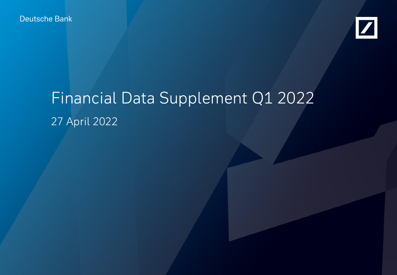Deutsche Bank



# Financial Data Supplement Q1 2022 27 April 2022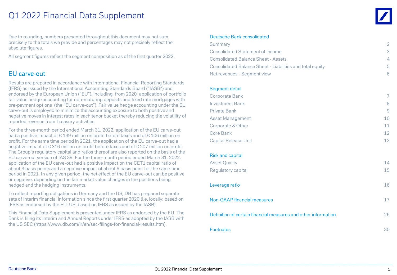### Q1 2022 Financial Data Supplement

Due to rounding, numbers presented throughout this document may not sum precisely to the totals we provide and percentages may not precisely reflect the absolute figures.

All segment figures reflect the segment composition as of the first quarter 2022.

#### EU carve-out

Results are prepared in accordance with International Financial Reporting Standards (IFRS) as issued by the International Accounting Standards Board ("IASB") and endorsed by the European Union ("EU"), including, from 2020, application of portfolio fair value hedge accounting for non-maturing deposits and fixed rate mortgages with pre-payment options (the "EU carve-out"). Fair value hedge accounting under the EU carve-out is employed to minimize the accounting exposure to both positive and negative moves in interest rates in each tenor bucket thereby reducing the volatility of reported revenue from Treasury activities.

For the three-month period ended March 31, 2022, application of the EU carve-out had a positive impact of € 139 million on profit before taxes and of € 106 million on profit. For the same time period in 2021, the application of the EU carve-out had a negative impact of  $\epsilon$  316 million on profit before taxes and of  $\epsilon$  207 million on profit. The Group's regulatory capital and ratios thereof are also reported on the basis of the EU carve-out version of IAS 39. For the three-month period ended March 31, 2022, application of the EU carve-out had a positive impact on the CET1 capital ratio of about 3 basis points and a negative impact of about 6 basis point for the same time period in 2021. In any given period, the net effect of the EU carve-out can be positive or negative, depending on the fair market value changes in the positions being hedged and the hedging instruments.

To reflect reporting obligations in Germany and the US, DB has prepared separate sets of interim financial information since the first quarter 2020 (i.e. locally: based on IFRS as endorsed by the EU; US: based on IFRS as issued by the IASB).

This Financial Data Supplement is presented under IFRS as endorsed by the EU. The Bank is filing its Interim and Annual Reports under IFRS as adopted by the IASB with the US SEC (<https://www.db.com/ir/en/sec-filings-for-financial-results.htm>).

#### Deutsche Bank consolidated

| Summary                                                        | $\overline{2}$ |
|----------------------------------------------------------------|----------------|
| <b>Consolidated Statement of Income</b>                        | 3              |
| <b>Consolidated Balance Sheet - Assets</b>                     | $\overline{4}$ |
| Consolidated Balance Sheet - Liabilities and total equity      | 5              |
| Net revenues - Segment view                                    | 6              |
|                                                                |                |
| Segment detail                                                 | $\overline{7}$ |
| <b>Corporate Bank</b>                                          |                |
| <b>Investment Bank</b>                                         | 8              |
| <b>Private Bank</b>                                            | 9              |
| <b>Asset Management</b>                                        | 10             |
| Corporate & Other                                              | 11             |
| Core Bank                                                      | 12             |
| <b>Capital Release Unit</b>                                    | 13             |
| <b>Risk and capital</b>                                        |                |
| <b>Asset Quality</b>                                           | 14             |
| Regulatory capital                                             | 15             |
|                                                                |                |
| Leverage ratio                                                 | 16             |
| <b>Non-GAAP financial measures</b>                             | 17             |
| Definition of certain financial measures and other information | 26             |
| <b>Footnotes</b>                                               | 30             |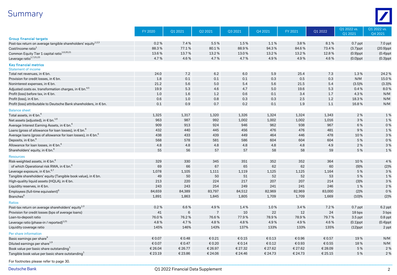### Summary



|                                                                            | FY 2020 | Q1 2021 | Q2 2021        | Q3 2021 | Q4 2021 | FY 2021 | Q1 2022 | Q1 2022 vs.<br>Q1 2021 | Q1 2022 vs.<br>Q4 2021 |
|----------------------------------------------------------------------------|---------|---------|----------------|---------|---------|---------|---------|------------------------|------------------------|
| <b>Group financial targets</b>                                             |         |         |                |         |         |         |         |                        |                        |
| Post-tax return on average tangible shareholders' equity <sup>1,2,3</sup>  | 0.2%    | 7.4%    | 5.5%           | 1.5%    | 1.1%    | 3.8%    | 8.1%    | $0.7$ ppt              | 7.0 ppt                |
| Cost/income ratio <sup>1</sup>                                             | 88.3%   | 77.1%   | 80.1%          | 88.9%   | 94.3%   | 84.6%   | 73.4%   | $(3.7)$ ppt            | $(20.9)$ ppt           |
| Common Equity Tier 1 capital ratio <sup>1,6,20,21</sup>                    | 13.6%   | 13.7%   | 13.2%          | 13.0%   | 13.2%   | 13.2%   | 12.8%   | $(0.9)$ ppt            | $(0.4)$ ppt            |
| Leverage ratio <sup>1,7,21,23</sup>                                        | 4.7%    | 4.6%    | 4.7%           | 4.7%    | 4.9%    | 4.9%    | 4.6%    | $(0.0)$ ppt            | $(0.3)$ ppt            |
| <b>Key financial metrics</b><br><b>Statement of income</b>                 |         |         |                |         |         |         |         |                        |                        |
| Total net revenues, in € bn.                                               | 24.0    | 7.2     | 6.2            | 6.0     | 5.9     | 25.4    | 7.3     | 1.3%                   | 24.2%                  |
| Provision for credit losses, in € bn.                                      | 1.8     | 0.1     | 0.1            | 0.1     | 0.3     | 0.5     | 0.3     | N/M                    | 15.0%                  |
| Noninterest expenses, in € bn.                                             | 21.2    | 5.6     | 5.0            | 5.4     | 5.6     | 21.5    | 5.4     | (3.5)%                 | (3.3)%                 |
| Adjusted costs ex. transformation charges, in € bn. <sup>4,5</sup>         | 19.9    | 5.3     | 4.6            | 4.7     | $5.0\,$ | 19.6    | 5.3     | 0.4%                   | 8.0%                   |
| Profit (loss) before tax, in € bn.                                         | 1.0     | 1.6     | 1.2            | 0.6     | 0.1     | 3.4     | 1.7     | 4.3%                   | N/M                    |
| Profit (loss), in € bn.                                                    | 0.6     | 1.0     | 0.8            | 0.3     | 0.3     | 2.5     | 1.2     | 18.3%                  | N/M                    |
| Profit (loss) attributable to Deutsche Bank shareholders, in € bn.         | 0.1     | 0.9     | 0.7            | 0.2     | 0.1     | 1.9     | 1.1     | 16.8%                  | N/M                    |
| <b>Balance sheet</b>                                                       |         |         |                |         |         |         |         |                        |                        |
| Total assets, in € bn. $^6$                                                | 1,325   | 1,317   | 1,320          | 1,326   | 1,324   | 1,324   | 1,343   | 2%                     | 1%                     |
| Net assets (adjusted), in $\epsilon$ bn. <sup>1,6</sup>                    | 963     | 987     | 992            | 1,002   | 1,002   | 1,002   | 1,016   | 3%                     | 1%                     |
| Average Interest Earning Assets, in € bn. <sup>6</sup>                     | 909     | 913     | 924            | 946     | 962     | 938     | 967     | 6 %                    | 0%                     |
| Loans (gross of allowance for loan losses), in $\epsilon$ bn. <sup>6</sup> | 432     | 440     | 445            | 456     | 476     | 476     | 481     | 9%                     | 1%                     |
| Average loans (gross of allowance for loan losses), in $\epsilon$ bn. $^6$ | 438     | 433     | 439            | 449     | 464     | 446     | 478     | 10%                    | 3 %                    |
| Deposits, in $\epsilon$ bn. <sup>6</sup>                                   | 568     | 578     | 581            | 586     | 604     | 604     | 604     | 5%                     | 0%                     |
| Allowance for loan losses, in $\epsilon$ bn. <sup>6</sup>                  | 4.8     | 4.8     | 4.8            | 4.8     | $4.8\,$ | 4.8     | 4.9     | 2%                     | 3 %                    |
| Shareholders' equity, in $\epsilon$ bn. <sup>6</sup>                       | 55      | 56      | 57             | 57      | 58      | 58      | 59      | 5 %                    | 1%                     |
| <b>Resources</b>                                                           |         |         |                |         |         |         |         |                        |                        |
| Risk-weighted assets, in $\epsilon$ bn. <sup>6</sup>                       | 329     | 330     | 345            | 351     | 352     | 352     | 364     | 10%                    | 4 %                    |
| of which Operational risk RWA, in € bn. <sup>6</sup>                       | 69      | 66      | 67             | 65      | 62      | 62      | 60      | (9)%                   | (2)%                   |
| Leverage exposure, in $\epsilon$ bn. $^{6,7}$                              | 1,078   | 1,105   | 1,111          | 1,119   | 1,125   | 1,125   | 1,164   | 5 %                    | 3%                     |
| Tangible shareholders' equity (Tangible book value), in € bn.              | 49      | 50      | 50             | 51      | 52      | 52      | 53      | 5 %                    | 1%                     |
| High-quality liquid assets (HQLA), in € bn.                                | 213     | 220     | 224            | 217     | 207     | 207     | 214     | (3)%                   | 3%                     |
| Liquidity reserves, in € bn.                                               | 243     | 243     | 254            | 249     | 241     | 241     | 246     | 1%                     | 2 %                    |
| Employees (full-time equivalent) <sup>6</sup>                              | 84,659  | 84,389  | 83,797         | 84,512  | 82,969  | 82,969  | 83,000  | (2)%                   | 0%                     |
| Branches <sup>6</sup>                                                      | 1,891   | 1,863   | 1,845          | 1,805   | 1,709   | 1,709   | 1,669   | (10)%                  | (2)%                   |
| <b>Ratios</b>                                                              |         |         |                |         |         |         |         |                        |                        |
| Post-tax return on average shareholders' equity <sup>1,3</sup>             | 0.2%    | 6.6%    | 4.9%           | 1.4%    | 1.0%    | 3.4%    | 7.2%    | $0.7$ ppt              | 6.2 ppt                |
| Provision for credit losses (bps of average loans)                         | 41      | 6       | $\overline{7}$ | 10      | 22      | 12      | 24      | 18 bps                 | 3 bps                  |
| Loan-to-deposit ratio                                                      | 76.0%   | 76.2%   | 76.6%          | 77.9%   | 78.9%   | 78.9%   | 79.7%   | 3.5 ppt                | $0.8$ ppt              |
| Leverage ratio (phase-in / reported) <sup>1,21</sup>                       | 4.8%    | 4.7%    | 4.8%           | 4.8%    | 4.9%    | 4.9%    | 4.6%    | $(0.1)$ ppt            | $(0.4)$ ppt            |
| Liquidity coverage ratio                                                   | 145%    | 146%    | 143%           | 137%    | 133%    | 133%    | 135%    | $(12)$ ppt             | 2 ppt                  |
| Per share information                                                      |         |         |                |         |         |         |         |                        |                        |
| Basic earnings per share                                                   | € 0.07  | € 0.48  | € 0.21         | € 0.15  | € 0.13  | € 0.96  | € 0.57  | 19%                    | N/M                    |
| Diluted earnings per share <sup>1,9</sup>                                  | € 0.07  | € 0.47  | € 0.20         | € 0.14  | € 0.12  | € 0.93  | € 0.55  | 18%                    | N/M                    |
| Book value per basic share outstanding <sup>1</sup>                        | € 26.04 | € 26.77 | € 26.97        | € 27.32 | € 27.62 | € 27.62 | € 28.09 | 5 %                    | 2 %                    |
| Tangible book value per basic share outstanding <sup>1</sup>               | € 23.19 | € 23.86 | € 24.06        | € 24.46 | €24.73  | € 24.73 | € 25.15 | 5 %                    | 2 %                    |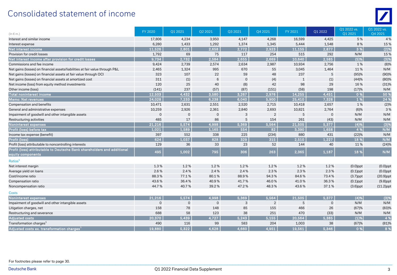### Consolidated statement of income

| $(ln \in m.)$                                                                                | FY 2020        | Q1 2021        | Q2 2021      | Q3 2021        | Q4 2021        | FY 2021      | Q1 2022     | Q1 2022 vs.<br>Q1 2021 | Q1 2022 vs.<br>Q4 2021 |
|----------------------------------------------------------------------------------------------|----------------|----------------|--------------|----------------|----------------|--------------|-------------|------------------------|------------------------|
| Interest and similar income                                                                  | 17,806         | 4,234          | 3,950        | 4,147          | 4,268          | 16,599       | 4,425       | 5 %                    | 4 %                    |
| Interest expense                                                                             | 6,280          | 1,433          | 1,292        | 1,374          | 1,345          | 5,444        | 1,548       | 8%                     | 15 %                   |
| Net interest income                                                                          | 11,526         | 2,801          | 2,658        | 2,772          | 2,923          | 11,155       | 2,877       | 3 %                    | (2)%                   |
| Provision for credit losses                                                                  | 1,792          | 69             | 75           | 117            | 254            | 515          | 292         | N/M                    | 15 %                   |
| Net interest income after provision for credit losses                                        | 9,734          | 2,732          | 2,584        | 2,655          | 2,669          | 10,640       | 2,585       | (5)%                   | (3)%                   |
| Commissions and fee income                                                                   | 9,424          | 2,739          | 2,574        | 2,634          | 2,987          | 10,934       | 2,756       | 1%                     | (8)%                   |
| Net gains (losses) on financial assets/liabilities at fair value through P&L                 | 2,465          | 1,324          | 995          | 670            | 55             | 3,045        | 1,464       | 11%                    | N/M                    |
| Net gains (losses) on financial assets at fair value through OCI                             | 323            | 107            | 22           | 59             | 48             | 237          | 5           | (95)%                  | (90)%                  |
| Net gains (losses) on financial assets at amortized cost                                     | 311            | (1)            | 6            | $\overline{0}$ | (4)            | $\mathbf{1}$ | (1)         | (44)%                  | (80)%                  |
| Net income (loss) from equity method investments                                             | 120            | 25             | 40           | (8)            | 42             | 98           | 29          | 16%                    | (31)%                  |
| Other income (loss)                                                                          | (141)          | 237            | (57)         | (87)           | (151)          | (58)         | 198         | (17)%                  | N/M                    |
| <b>Total noninterest income</b>                                                              | 12,503         | 4,432          | 3,580        | 3,267          | 2,976          | 14,255       | 4,451       | 0%                     | 50 %                   |
| Memo: Net revenues                                                                           | 24,028         | 7,233          | 6,238        | 6,040          | 5,900          | 25,410       | 7,328       | 1%                     | 24 %                   |
| Compensation and benefits                                                                    | 10,471         | 2,631          | 2,551        | 2,520          | 2,715          | 10,418       | 2,657       | 1%                     | (2)%                   |
| General and administrative expenses                                                          | 10,259         | 2,926          | 2,361        | 2,840          | 2,693          | 10,821       | 2,764       | (6)%                   | 3%                     |
| Impairment of goodwill and other intangible assets                                           | $\overline{0}$ | $\overline{0}$ | $\mathbf{0}$ | 3              | 2              | 5            | $\mathbf 0$ | N/M                    | N/M                    |
| Restructuring activities                                                                     | 485            | 17             | 86           | 5              | 154            | 261          | (43)        | N/M                    | N/M                    |
| Noninterest expenses                                                                         | 21,216         | 5,574          | 4,998        | 5,369          | 5,564          | 21,505       | 5,377       | (4)%                   | (3)%                   |
| Profit (loss) before tax                                                                     | 1,021          | 1,589          | 1,165        | 554            | 82             | 3,390        | 1,658       | 4 %                    | N/M                    |
| Income tax expense (benefit)                                                                 | 397            | 552            | 338          | 225            | (234)          | 880          | 431         | (22)%                  | N/M                    |
| Profit (loss)                                                                                | 624            | 1.037          | 828          | 329            | 315            | 2.510        | 1.227       | 18 %                   | N/M                    |
| Profit (loss) attributable to noncontrolling interests                                       | 129            | 36             | 33           | 23             | 52             | 144          | 40          | 11%                    | (24)%                  |
| Profit (loss) attributable to Deutsche Bank shareholders and additional<br>equity components | 495            | 1,002          | 795          | 306            | 263            | 2,365        | 1,187       | 18 %                   | N/M                    |
| Ratios <sup>1</sup>                                                                          |                |                |              |                |                |              |             |                        |                        |
| Net interest margin                                                                          | 1.3%           | 1.2%           | 1.2%         | 1.2%           | 1.2%           | 1.2%         | 1.2%        | $(0.0)$ ppt            | $(0.0)$ ppt            |
| Average yield on loans                                                                       | 2.6%           | 2.4%           | 2.4%         | 2.4%           | 2.3%           | 2.3%         | 2.3%        | $(0.1)$ ppt            | $(0.0)$ ppt            |
| Cost/income ratio                                                                            | 88.3%          | 77.1%          | 80.1%        | 88.9%          | 94.3%          | 84.6%        | 73.4%       | $(3.7)$ ppt            | $(20.9)$ ppt           |
| Compensation ratio                                                                           | 43.6%          | 36.4%          | 40.9%        | 41.7%          | 46.0%          | 41.0%        | 36.3%       | $(0.1)$ ppt            | $(9.8)$ ppt            |
| Noncompensation ratio                                                                        | 44.7%          | 40.7%          | 39.2%        | 47.2%          | 48.3%          | 43.6%        | 37.1%       | $(3.6)$ ppt            | $(11.2)$ ppt           |
| <b>Costs</b>                                                                                 |                |                |              |                |                |              |             |                        |                        |
| <b>Noninterest expenses</b>                                                                  | 21,216         | 5,574          | 4,998        | 5,369          | 5,564          | 21,505       | 5,377       | (4)%                   | (3)%                   |
| Impairment of goodwill and other intangible assets                                           | $\mathbf 0$    | $\mathbf 0$    | $\mathbf 0$  | 3              | $\overline{2}$ | 5            | $\mathsf 0$ | N/M                    | N/M                    |
| Litigation charges, net                                                                      | 158            | 78             | 148          | 85             | 155            | 466          | 26          | (67)%                  | (83)%                  |
| Restructuring and severance                                                                  | 688            | 58             | 123          | 38             | 251            | 470          | (33)        | N/M                    | N/M                    |
| <b>Adjusted costs</b>                                                                        | 20,370         | 5,439          | 4,727        | 5,243          | 5,155          | 20,564       | 5,385       | (1)%                   | 4 %                    |
| Transformation charges <sup>1</sup>                                                          | 490            | 116            | 99           | 583            | 204            | 1,003        | 38          | (67)%                  | (81)%                  |
| Adjusted costs ex. transformation charges                                                    | 19,880         | 5,322          | 4,628        | 4,660          | 4,951          | 19,561       | 5,346       | 0%                     | 8%                     |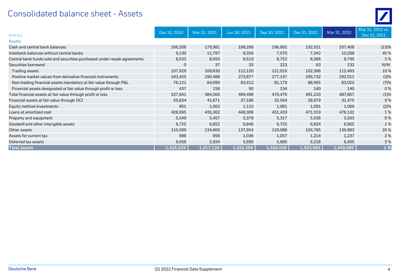### Consolidated balance sheet - Assets

| $(ln \in m.)$                                                            | Dec 31, 2020 | Mar 31, 2021 | Jun 30, 2021 | Sep 30, 2021 | Dec 31, 2021 | Mar 31, 2022 | Mar 31, 2022 vs.<br>Dec 31, 2021 |
|--------------------------------------------------------------------------|--------------|--------------|--------------|--------------|--------------|--------------|----------------------------------|
| <b>Assets</b>                                                            |              |              |              |              |              |              |                                  |
| Cash and central bank balances                                           | 166,208      | 179,981      | 198,268      | 196,892      | 192,021      | 167,408      | (13)%                            |
| Interbank balances without central banks                                 | 9,130        | 11,797       | 8,359        | 7,570        | 7,342        | 10,298       | 40%                              |
| Central bank funds sold and securities purchased under resale agreements | 8,533        | 8,650        | 8,519        | 8,752        | 8,368        | 8,795        | 5 %                              |
| Securities borrowed                                                      | $\mathbf 0$  | 37           | 33           | 223          | 63           | 232          | N/M                              |
| Trading assets                                                           | 107,929      | 109,830      | 112,120      | 121,016      | 102,396      | 112,493      | 10%                              |
| Positive market values from derivative financial instruments             | 343,455      | 290,488      | 273,877      | 277,147      | 299,732      | 292,011      | (3)%                             |
| Non-trading financial assets mandatory at fair value through P&L         | 76,121       | 84,090       | 83,412       | 81,179       | 88,965       | 83,023       | (7)%                             |
| Financial assets designated at fair value through profit or loss         | 437          | 158          | 90           | 134          | 140          | 140          | 0%                               |
| Total financial assets at fair value through profit or loss              | 527,941      | 484,566      | 469,498      | 479,476      | 491,233      | 487,667      | (1)%                             |
| Financial assets at fair value through OCI                               | 55,834       | 41,671       | 37,186       | 32,564       | 28,979       | 31,475       | 9%                               |
| Equity method investments                                                | 901          | 1,062        | 1,110        | 1,081        | 1,091        | 1,069        | (2)%                             |
| Loans at amortized cost                                                  | 426,995      | 435,362      | 440,308      | 451,433      | 471,319      | 476,132      | 1 %                              |
| Property and equipment                                                   | 5,549        | 5,457        | 5,378        | 5,317        | 5,536        | 5,563        | 0%                               |
| Goodwill and other intangible assets                                     | 6,725        | 6,852        | 6,846        | 6,725        | 6,824        | 6,902        | 1%                               |
| Other assets                                                             | 110,399      | 134,800      | 137,954      | 129,088      | 103,785      | 139,883      | 35 %                             |
| Assets for current tax                                                   | 986          | 958          | 1,036        | 1,057        | 1,214        | 1,237        | 2%                               |
| Deferred tax assets                                                      | 6,058        | 5,934        | 5,890        | 5,880        | 6,218        | 6,405        | 3%                               |
| <b>Total assets</b>                                                      | 1,325,259    | 1,317,126    | 1,320,384    | 1,326,058    | 1,323,993    | 1,343,066    | 1%                               |

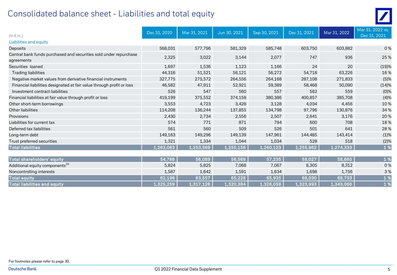### Consolidated balance sheet - Liabilities and total equity



| $(ln \in m.)$                                                                   | Dec 31, 2020 | Mar 31, 2021 | Jun 30, 2021 | Sep 30, 2021 | Dec 31, 2021 | Mar 31, 2022 | Mar 31, 2022 vs.<br>Dec 31, 2021 |
|---------------------------------------------------------------------------------|--------------|--------------|--------------|--------------|--------------|--------------|----------------------------------|
| Liabilities and equity                                                          |              |              |              |              |              |              |                                  |
| Deposits                                                                        | 568,031      | 577,796      | 581,329      | 585,748      | 603,750      | 603,882      | 0%                               |
| Central bank funds purchased and securities sold under repurchase<br>agreements | 2,325        | 3,022        | 3,144        | 2,077        | 747          | 936          | 25 %                             |
| Securities loaned                                                               | 1,697        | 1,536        | 1,123        | 1,166        | 24           | 20           | (19)%                            |
| <b>Trading liabilities</b>                                                      | 44,316       | 51,521       | 56,121       | 56,272       | 54,718       | 63,226       | 16%                              |
| Negative market values from derivative financial instruments                    | 327,775      | 275,572      | 264,556      | 264,168      | 287,108      | 271,833      | (5)%                             |
| Financial liabilities designated at fair value through profit or loss           | 46,582       | 47,911       | 52,921       | 59,389       | 58,468       | 50,090       | (14)%                            |
| Investment contract liabilities                                                 | 526          | 547          | 560          | 557          | 562          | 559          | (0)%                             |
| Financial liabilities at fair value through profit or loss                      | 419,199      | 375,552      | 374,158      | 380,386      | 400,857      | 385,708      | (4)%                             |
| Other short-term borrowings                                                     | 3,553        | 4,723        | 3,428        | 3,128        | 4,034        | 4,456        | 10%                              |
| Other liabilities                                                               | 114,208      | 136,244      | 137,855      | 134,798      | 97,796       | 130,876      | 34 %                             |
| Provisions                                                                      | 2,430        | 2,734        | 2,556        | 2,507        | 2,641        | 3,176        | 20 %                             |
| Liabilities for current tax                                                     | 574          | 771          | 871          | 794          | 600          | 708          | 18%                              |
| Deferred tax liabilities                                                        | 561          | 560          | 509          | 526          | 501          | 641          | 28 %                             |
| Long-term debt                                                                  | 149,163      | 149,296      | 149,139      | 147,961      | 144,485      | 143,414      | (1)%                             |
| Trust preferred securities                                                      | 1,321        | 1,334        | 1,044        | 1,034        | 528          | 518          | (2)%                             |
| <b>Total liabilities</b>                                                        | 1,263,063    | 1,253,569    | 1,255,156    | 1,260,123    | 1,255,962    | 1,274,333    | 1 %                              |

| Total shareholders' equity                 | 54.786    | 56,089    | 56,569    | 57,235    | 58,027    | 58,665    |    |
|--------------------------------------------|-----------|-----------|-----------|-----------|-----------|-----------|----|
| Additional equity components <sup>10</sup> | 5,824     | 5,825     | 7,068     | 7,067     | 8,305     | 8,312     | 0% |
| Noncontrolling interests                   | 1,587     | 1,642     | 1,591     | 1,634     | 1,698     | 1,756     | 3% |
| <b>Total equity</b>                        | 62,196    | 63,557    | 65,228    | 65,935    | 68,030    | 68,733    |    |
| Total liabilities and equity               | 1,325,259 | 1,317,126 | 1,320,384 | 1,326,058 | 1,323,993 | 1,343,066 |    |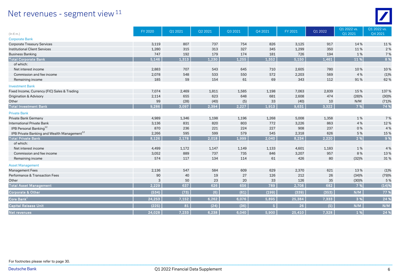### Net revenues - segment view<sup>11</sup>



| $(ln \in m.)$                                           | FY 2020 | Q1 2021 | Q2 2021 | Q3 2021 | Q4 2021        | FY 2021 | Q1 2022 | Q1 2022 vs.<br>Q1 2021 | Q1 2022 vs.<br>Q4 2021 |
|---------------------------------------------------------|---------|---------|---------|---------|----------------|---------|---------|------------------------|------------------------|
| <b>Corporate Bank</b>                                   |         |         |         |         |                |         |         |                        |                        |
| <b>Corporate Treasury Services</b>                      | 3,119   | 807     | 737     | 754     | 826            | 3,125   | 917     | 14 %                   | 11%                    |
| <b>Institutional Client Services</b>                    | 1,280   | 315     | 313     | 327     | 345            | 1,299   | 350     | 11%                    | 2 %                    |
| <b>Business Banking</b>                                 | 747     | 192     | 179     | 174     | 181            | 726     | 194     | 1%                     | 7 %                    |
| <b>Total Corporate Bank</b>                             | 5,146   | 1,313   | 1,230   | 1,255   | 1,352          | 5,150   | 1,461   | 11 %                   | 8 %                    |
| of which:                                               |         |         |         |         |                |         |         |                        |                        |
| Net interest income                                     | 2,883   | 707     | 543     | 645     | 710            | 2,605   | 780     | 10%                    | 10%                    |
| Commission and fee income                               | 2,078   | 548     | 533     | 550     | 572            | 2,203   | 569     | 4 %                    | (1)%                   |
| Remaining income                                        | 185     | 59      | 154     | 61      | 69             | 343     | 112     | 91%                    | 62%                    |
| <b>Investment Bank</b>                                  |         |         |         |         |                |         |         |                        |                        |
| Fixed Income, Currency (FIC) Sales & Trading            | 7,074   | 2,469   | 1,811   | 1,585   | 1,198          | 7,063   | 2,839   | 15%                    | 137 %                  |
| <b>Origination &amp; Advisory</b>                       | 2,114   | 655     | 623     | 648     | 681            | 2,608   | 474     | (28)%                  | (30)%                  |
| Other                                                   | 99      | (28)    | (40)    | (5)     | 33             | (40)    | 10      | N/M                    | (71)%                  |
| <b>Total Investment Bank</b>                            | 9,286   | 3,097   | 2,394   | 2,227   | 1.913          | 9,631   | 3,322   | 7 %                    | 74 %                   |
| <b>Private Bank</b>                                     |         |         |         |         |                |         |         |                        |                        |
| Private Bank Germany                                    | 4,989   | 1,346   | 1,198   | 1,196   | 1,268          | 5,008   | 1,358   | 1%                     | 7 %                    |
| <b>International Private Bank</b>                       | 3,136   | 831     | 820     | 803     | 772            | 3,226   | 863     | 4 %                    | 12%                    |
| IPB Personal Banking <sup>12</sup>                      | 870     | 236     | 221     | 224     | 227            | 908     | 237     | 0%                     | 4 %                    |
| IPB Private Banking and Wealth Management <sup>12</sup> | 2,266   | 595     | 599     | 579     | 545            | 2,318   | 626     | 5 %                    | 15%                    |
| <b>Total Private Bank</b>                               | 8,126   | 2,178   | 2,018   | 1,999   | 2,040          | 8,234   | 2,220   | 2 %                    | 9 %                    |
| of which:                                               |         |         |         |         |                |         |         |                        |                        |
| Net interest income                                     | 4,499   | 1,172   | 1,147   | 1,149   | 1,133          | 4,601   | 1,183   | 1%                     | 4 %                    |
| Commission and fee income                               | 3,052   | 889     | 737     | 735     | 846            | 3,207   | 957     | 8%                     | 13%                    |
| Remaining income                                        | 574     | 117     | 134     | 114     | 61             | 426     | 80      | (32)%                  | 31%                    |
| <b>Asset Management</b>                                 |         |         |         |         |                |         |         |                        |                        |
| <b>Management Fees</b>                                  | 2,136   | 547     | 584     | 609     | 629            | 2,370   | 621     | 13%                    | (1)%                   |
| Performance & Transaction Fees                          | 90      | 40      | 19      | 27      | 126            | 212     | 26      | (34)%                  | (79)%                  |
| Other                                                   | 3       | 50      | 23      | 20      | 33             | 126     | 35      | (30)%                  | 5 %                    |
| <b>Total Asset Management</b>                           | 2,229   | 637     | 626     | 656     | 789            | 2,708   | 682     | 7 %                    | (14)%                  |
| Corporate & Other                                       | (534)   | (73)    | (6)     | (61)    | (199)          | (339)   | (353)   | N/M                    | 77 %                   |
| Core Bank $^1$                                          | 24,253  | 7,152   | 6,262   | 6,076   | 5,895          | 25,384  | 7,333   | 3 %                    | 24 %                   |
| Capital Release Unit                                    | (225)   | 81      | (24)    | (36)    | 5 <sub>1</sub> | 26      | (5)     | N/M                    | N/M                    |
| Net revenues                                            | 24,028  | 7,233   | 6,238   | 6,040   | 5,900          | 25,410  | 7,328   | 1%                     | 24 %                   |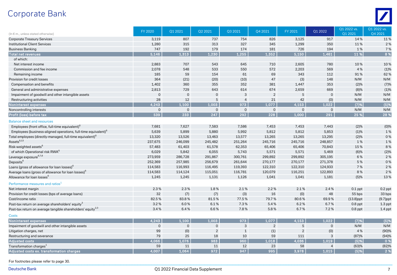### Corporate Bank



| (In € m., unless stated otherwise)                                         | <b>FY 2020</b> | Q1 2021      | Q2 2021        | Q3 2021        | Q4 2021        | FY 2021     | Q1 2022        | Q1 2022 vs.<br>Q1 2021 | Q1 2022 vs.<br>Q4 2021 |
|----------------------------------------------------------------------------|----------------|--------------|----------------|----------------|----------------|-------------|----------------|------------------------|------------------------|
| <b>Corporate Treasury Services</b>                                         | 3,119          | 807          | 737            | 754            | 826            | 3,125       | 917            | 14%                    | 11%                    |
| <b>Institutional Client Services</b>                                       | 1,280          | 315          | 313            | 327            | 345            | 1,299       | 350            | 11%                    | 2%                     |
| <b>Business Banking</b>                                                    | 747            | 192          | 179            | 174            | 181            | 726         | 194            | 1%                     | 7 %                    |
| <b>Total net revenues</b>                                                  | 5.146          | 1.313        | 1,230          | 1.255          | 1.352          | 5.150       | 1.461          | 11 %                   | 8 %                    |
| of which:                                                                  |                |              |                |                |                |             |                |                        |                        |
| Net interest income                                                        | 2,883          | 707          | 543            | 645            | 710            | 2,605       | 780            | 10%                    | 10%                    |
| Commission and fee income                                                  | 2,078          | 548          | 533            | 550            | 572            | 2,203       | 569            | 4 %                    | (1)%                   |
| Remaining income                                                           | 185            | 59           | 154            | 61             | 69             | 343         | 112            | 91%                    | 62%                    |
| Provision for credit losses                                                | 364            | (21)         | (20)           | (10)           | 47             | (3)         | 148            | N/M                    | N/M                    |
| Compensation and benefits                                                  | 1,402          | 360          | 355            | 352            | 381            | 1,447       | 353            | (2)%                   | (7)%                   |
| General and administrative expenses                                        | 2,813          | 729          | 643            | 614            | 674            | 2,659       | 669            | (8)%                   | (1)%                   |
| Impairment of goodwill and other intangible assets                         | $\mathbf{0}$   | $\mathbf{0}$ | $\Omega$       | 3              | $\overline{2}$ | 5           | $\mathbf 0$    | N/M                    | N/M                    |
| Restructuring activities                                                   | 28             | 12           | 5              | $\overline{4}$ | 21             | 42          | (0)            | N/M                    | N/M                    |
| Noninterest expenses                                                       | 4,243          | 1,100        | 1,003          | 973            | 1,077          | 4,153       | 1,022          | (7)%                   | $(5)$ %                |
| Noncontrolling interests                                                   | $\mathbf 0$    | $\mathbf 0$  | $\mathbf 0$    | $\mathbf 0$    | $\overline{0}$ | $\mathbf 0$ | $\mathbf 0$    | N/M                    | N/M                    |
| Profit (loss) before tax                                                   | 539            | 233          | 247            | 292            | 228            | 1,000       | 291            | 25 %                   | 28 %                   |
| <b>Balance sheet and resources</b>                                         |                |              |                |                |                |             |                |                        |                        |
| Employees (front office, full-time equivalent) <sup>o</sup>                | 7,681          | 7,627        | 7,583          | 7,586          | 7,453          | 7,453       | 7,443          | (2)%                   | (0)%                   |
| Employees (business-aligned operations, full-time equivalent) <sup>6</sup> | 5,639          | 5,899        | 5,880          | 5,992          | 5,812          | 5,812       | 5,853          | (1)%                   | 1%                     |
| Total employees (directly-managed, full-time equivalent) <sup>6</sup>      | 13,320         | 13,526       | 13,463         | 13,577         | 13,265         | 13,265      | 13,295         | (2)%                   | 0%                     |
| Assets <sup>6,13</sup>                                                     | 237,675        | 246,099      | 245,482        | 251,264        | 245,716        | 245,716     | 248,857        | 1%                     | 1%                     |
| Risk-weighted assets <sup>6</sup>                                          | 57,483         | 61,403       | 61,578         | 62,353         | 65,406         | 65,406      | 70,843         | 15%                    | 8%                     |
| of which Operational risk RWA <sup>6</sup>                                 | 6,029          | 5,842        | 6,055          | 5,743          | 5,571          | 5,571       | 5,469          | (6)%                   | (2)%                   |
| Leverage exposure <sup>6,7,8</sup>                                         | 273,959        | 286,728      | 291,867        | 300,761        | 299,892        | 299,892     | 305,195        | 6 %                    | 2 %                    |
| Deposits <sup>6</sup>                                                      | 252,369        | 257,985      | 256,679        | 261,644        | 270,177        | 270,177     | 271,378        | 5 %                    | 0%                     |
| Loans (gross of allowance for loan losses) <sup>6</sup>                    | 114,583        | 116,993      | 116,495        | 119,393        | 122,310        | 122,310     | 124,933        | 7 %                    | 2 %                    |
| Average loans (gross of allowance for loan losses) <sup>6</sup>            | 114,583        | 114,124      | 115,051        | 116,781        | 120,079        | 116.251     | 122,893        | 8%                     | 2 %                    |
| Allowance for loan losses <sup>6</sup>                                     | 1,245          | 1,245        | 1,131          | 1,126          | 1,041          | 1,041       | 1,181          | (5)%                   | 13%                    |
| Performance measures and ratios <sup>1</sup>                               |                |              |                |                |                |             |                |                        |                        |
| Net interest margin                                                        | 2.3%           | 2.3%         | 1.8%           | 2.1%           | 2.2%           | 2.1%        | 2.4%           | $0.1$ ppt              | $0.2$ ppt              |
| Provision for credit losses (bps of average loans)                         | 32             | (7)          | (7)            | (3)            | 16             | (0)         | 48             | 55 bps                 | 33 bps                 |
| Cost/income ratio                                                          | 82.5%          | 83.8%        | 81.5%          | 77.5%          | 79.7%          | 80.6%       | 69.9%          | $(13.8)$ ppt           | $(9.7)$ ppt            |
| Post-tax return on average shareholders' equity <sup>3</sup>               | 3.2%           | 6.0%         | 6.1%           | 7.3%           | 5.4%           | 6.2%        | 6.7%           | $0.8$ ppt              | $1.3$ ppt              |
| Post-tax return on average tangible shareholders' equity <sup>2,3</sup>    | 3.4%           | 6.4%         | 6.6%           | 7.8%           | 5.8%           | 6.7%        | 7.2%           | $0.8$ ppt              | $1.4$ ppt              |
| Costs                                                                      |                |              |                |                |                |             |                |                        |                        |
| Noninterest expenses                                                       | 4.243          | 1,100        | 1,003          | 973            | 1,077          | 4,153       | 1.022          | (7)%                   | (5)%                   |
| Impairment of goodwill and other intangible assets                         | $\mathbf{0}$   | $\mathbf 0$  | $\mathbf 0$    | 3              | $\overline{2}$ | 5           | $\mathbf 0$    | N/M                    | N/M                    |
| Litigation charges, net                                                    | 99             | (0)          | $\overline{2}$ | $\mathbf{1}$   | (1)            | 2           | (0)            | 4 %                    | (90)%                  |
| Restructuring and severance                                                | 79             | 25           | 18             | 10             | 59             | 111         | 3              | (87)%                  | (94)%                  |
| <b>Adjusted costs</b>                                                      | 4.066          | 1.076        | 983            | 960            | 1.018          | 4.036       | 1.019          | (5)%                   | 0%                     |
| Transformation charges <sup>1</sup>                                        | 59             | 11           | 11             | 12             | 23             | 58          | $\overline{4}$ | (63)%                  | (82)%                  |
| Adjusted costs ex. transformation charges                                  | 4.007          | 1.064        | 972            | 947            | 995            | 3,978       | 1.015          | (5)%                   | 2%                     |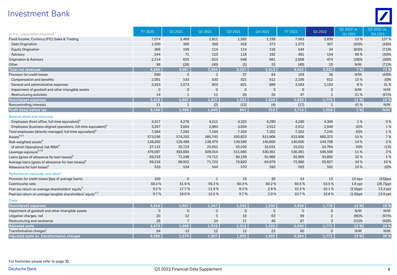### Investment Bank



| (In $\epsilon$ m., unless stated otherwise)                                | <b>FY 2020</b> | Q1 2021        | Q2 2021        | Q3 2021             | Q4 2021     | FY 2021      | Q1 2022        | Q1 2022 vs.<br>Q1 2021 | Q1 2022 vs.<br>Q4 2021 |
|----------------------------------------------------------------------------|----------------|----------------|----------------|---------------------|-------------|--------------|----------------|------------------------|------------------------|
| Fixed Income, Currency (FIC) Sales & Trading                               | 7,074          | 2,469          | 1,811          | 1,585               | 1,198       | 7,063        | 2,839          | 15%                    | 137%                   |
| Debt Origination                                                           | 1,500          | 385            | 399            | 416                 | 373         | 1,573        | 307            | (20)%                  | (18)%                  |
| <b>Equity Origination</b>                                                  | 369            | 199            | 114            | 114                 | 116         | 544          | 34             | (83)%                  | (71)%                  |
| Advisory                                                                   | 244            | 71             | 110            | 118                 | 192         | 491          | 134            | 88%                    | (30)%                  |
| <b>Origination &amp; Advisory</b>                                          | 2,114          | 655            | 623            | 648                 | 681         | 2,608        | 474            | (28)%                  | (30)%                  |
| Other                                                                      | 99             | (28)           | (40)           | (5)                 | 33          | (40)         | 10             | N/M                    | (71)%                  |
| <b>Total net revenues</b>                                                  | 9.286          | 3,097          | 2,394          | 2,227               | 1.913       | 9.631        | 3,322          | 7 %                    | 74 %                   |
| Provision for credit losses                                                | 690            | $\mathbf 0$    | $\overline{2}$ | 37                  | 64          | 104          | 36             | N/M                    | (44)%                  |
| Compensation and benefits                                                  | 2,081          | 533            | 533            | 521                 | 612         | 2,199        | 612            | 15%                    | $(0)\%$                |
| General and administrative expenses                                        | 3,323          | 1,073          | 803            | 821                 | 886         | 3,583        | 1,163          | 8%                     | 31 %                   |
| Impairment of goodwill and other intangible assets                         | $\mathbf 0$    | $\mathbf 0$    | $\overline{0}$ | $\mathsf{O}\xspace$ | $\Omega$    | $\mathbf 0$  | $\mathbf 0$    | N/M                    | N/M                    |
| Restructuring activities                                                   | 14             | $\mathbf{1}$   | 11             | (0)                 | 35          | 47           | $\mathbf{1}$   | 21%                    | (97)%                  |
| Noninterest expenses                                                       | 5,418          | 1,607          | 1,347          | 1,342               | 1,534       | 5,830        | 1,776          | 11 %                   | 16 %                   |
| Noncontrolling interests                                                   | 11             | $\mathbf{1}$   | (2)            | (12)                | (4)         | (17)         | $\mathbf{1}$   | 41%                    | N/M                    |
| Profit (loss) before tax                                                   | 3,166          | 1,489          | 1,046          | 861                 | 319         | 3,715        | 1,509          | 1%                     | N/M                    |
| <b>Balance sheet and resources</b>                                         |                |                |                |                     |             |              |                |                        |                        |
| Employees (front office, full-time equivalent) <sup>6</sup>                | 4,317          | 4,278          | 4,211          | 4,325               | 4,290       | 4,290        | 4,306          | 1%                     | 0%                     |
| Employees (business-aligned operations, full-time equivalent) <sup>6</sup> | 3,267          | 3,004          | 2,983          | 3,034               | 2,912       | 2,912        | 2,940          | (2)%                   | 1%                     |
| Total employees (directly-managed, full-time equivalent) <sup>6</sup>      | 7,584          | 7,282          | 7,194          | 7,359               | 7,202       | 7,202        | 7,245          | (0)%                   | 1%                     |
| Assets <sup>6,13</sup>                                                     | 573,536        | 574,255        | 585,743        | 595,823             | 615,906     | 615,906      | 660,375        | 15%                    | 7 %                    |
| Risk-weighted assets <sup>6</sup>                                          | 128,292        | 126,499        | 138,479        | 139,589             | 140,600     | 140,600      | 144,708        | 14%                    | 3%                     |
| of which Operational risk RWA <sup>6</sup>                                 | 27,115         | 25,723         | 25,952         | 25,329              | 25,031      | 25,031       | 24,764         | (4)%                   | (1)%                   |
| Leverage exposure <sup>6,7,8</sup>                                         | 476,097        | 493,683        | 509,014        | 511,060             | 530,361     | 530,361      | 546,506        | 11%                    | 3%                     |
| Loans (gross of allowance for loan losses) <sup>6</sup>                    | 69,218         | 71,248         | 74,712         | 80,199              | 92,966      | 92,966       | 93,892         | 32 %                   | 1 %                    |
| Average loans (gross of allowance for loan losses) <sup>6</sup>            | 69,218         | 69,952         | 71,723         | 76,820              | 84,979      | 75,980       | 93,857         | 34 %                   | 10%                    |
| Allowance for loan losses <sup>6</sup>                                     | 533            | 534            | 544            | 570                 | 593         | 593          | 591            | 10%                    | $(0)\%$                |
| Performance measures and ratios <sup>1</sup>                               |                |                |                |                     |             |              |                |                        |                        |
| Provision for credit losses (bps of average loans)                         | 100            | $\mathbf 0$    | $\mathbf{1}$   | 19                  | 30          | 14           | 15             | 15 bps                 | $(15)$ bps             |
| Cost/income ratio                                                          | 58.3%          | 51.9%          | 56.3%          | 60.3%               | 80.2%       | 60.5%        | 53.5%          | $1.6$ ppt              | $(26.7)$ ppt           |
| Post-tax return on average shareholders' equity <sup>3</sup>               | 9.2%           | 17.7%          | 11.9%          | 9.3%                | 2.8%        | 10.3%        | 16.1%          | $(1.6)$ ppt            | 13.3 ppt               |
| Post-tax return on average tangible shareholders' equity <sup>2,3</sup>    | 9.7%           | 18.6%          | 12.5%          | 9.7%                | 2.9%        | 10.7%        | 16.8%          | $(1.8)$ ppt            | 13.9 ppt               |
| <b>Costs</b>                                                               |                |                |                |                     |             |              |                |                        |                        |
| Noninterest expenses                                                       | 5.418          | 1.607          | 1.347          | 1.342               | 1.534       | 5,830        | 1.776          | 11 %                   | 16 %                   |
| Impairment of goodwill and other intangible assets                         | $\mathbf 0$    | $\mathbf 0$    | $\mathbf{0}$   | $\mathbf 0$         | $\mathbf 0$ | $\mathbf{0}$ | $\mathbf 0$    | N/M                    | N/M                    |
| Litigation charges, net                                                    | 20             | 12             | 5              | 18                  | 63          | 99           | $\overline{2}$ | (86)%                  | (97)%                  |
| Restructuring and severance                                                | 26             | $\overline{7}$ | 24             | 11                  | 46          | 87           | 3              | (52)%                  | (93)%                  |
| <b>Adjusted costs</b>                                                      | 5,373          | 1,588          | 1,319          | 1,313               | 1,425       | 5,644        | 1,771          | 12 %                   | 24 %                   |
| Transformation charges <sup>1</sup>                                        | 84             | 13             | 12             | 12                  | 23          | 60           | $\mathbf 0$    | N/M                    | N/M                    |
| Adjusted costs ex. transformation charges                                  | 5,289          | 1,574          | 1,307          | 1,301               | 1,402       | 5,584        | 1,771          | 13%                    | 26 %                   |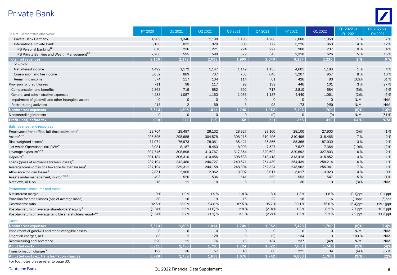### Private Bank



|                                                                         | FY 2020      | Q1 2021        | Q2 2021     | Q3 2021        | Q4 2021     | FY 2021      | Q1 2022      | Q1 2022 vs. | Q1 2022 vs.  |
|-------------------------------------------------------------------------|--------------|----------------|-------------|----------------|-------------|--------------|--------------|-------------|--------------|
| (In € m., unless stated otherwise)                                      |              |                |             |                |             |              |              | Q1 2021     | Q4 2021      |
| Private Bank Germany                                                    | 4,989        | 1,346          | 1,198       | 1,196          | 1,268       | 5,008        | 1,358        | 1%          | 7 %          |
| <b>International Private Bank</b>                                       | 3,136        | 831            | 820         | 803            | 772         | 3,226        | 863          | 4 %         | 12%          |
| IPB Personal Banking <sup>12</sup>                                      | 870          | 236            | 221         | 224            | 227         | 908          | 237          | 0%          | 4 %          |
| IPB Private Banking and Wealth Management <sup>12</sup>                 | 2,266        | 595            | 599         | 579            | 545         | 2,318        | 626          | 5 %         | 15 %         |
| <b>Total net revenues</b>                                               | 8.126        | 2,178          | 2,018       | 1,999          | 2,040       | 8.234        | 2.220        | 2 %         | 9 %          |
| of which:                                                               |              |                |             |                |             |              |              |             |              |
| Net interest income                                                     | 4,499        | 1,172          | 1,147       | 1,149          | 1,133       | 4,601        | 1,183        | 1%          | 4 %          |
| Commission and fee income                                               | 3,052        | 889            | 737         | 735            | 846         | 3,207        | 957          | 8%          | 13%          |
| Remaining income                                                        | 574          | 117            | 134         | 114            | 61          | 426          | 80           | (32)%       | 31 %         |
| Provision for credit losses                                             | 711          | 98             | 117         | 92             | 139         | 446          | 101          | 3%          | (27)%        |
| Compensation and benefits                                               | 2,863        | 719            | 682         | 692            | 717         | 2,810        | 684          | (5)%        | (5)%         |
| General and administrative expenses                                     | 4,238        | 1,087          | 1,163       | 1,053          | 1,137       | 4,440        | 1,061        | (2)%        | (7)%         |
| Impairment of goodwill and other intangible assets                      | $\mathbf{0}$ | $\Omega$       | $\mathbf 0$ | $\mathbf 0$    | $\Omega$    | $\mathbf{0}$ | $\mathbf{0}$ | N/M         | N/M          |
| Restructuring activities                                                | 413          | $\overline{2}$ | 69          | 3              | 98          | 173          | (45)         | N/M         | N/M          |
| Noninterest expenses                                                    | 7.513        | 1,808          | 1,914       | 1,749          | 1.952       | 7,423        | 1,700        | (6)%        | (13)%        |
| Noncontrolling interests                                                | $\mathbf 0$  | $\overline{0}$ | $\mathbf 0$ | $\mathbf 0$    | (0)         | $\mathbf{0}$ | (0)          | N/M         | (51)%        |
| Profit (loss) before tax                                                | (99)         | 271            | (12)        | 158            | (51)        | 366          | 419          | 54 %        | N/M          |
| <b>Balance sheet and resources</b>                                      |              |                |             |                |             |              |              |             |              |
| Employees (front office, full-time equivalent) <sup>6</sup>             | 29,764       | 29,497         | 29,132      | 28,927         | 28,100      | 28,100       | 27,903       | (5)%        | (1)%         |
| Assets <sup>6,14</sup>                                                  | 296,596      | 295,688        | 304,578     | 308,216        | 310,496     | 310,496      | 316,466      | 7 %         | 2 %          |
| Risk-weighted assets <sup>6</sup>                                       | 77,074       | 76,973         | 78,061      | 85,421         | 85,366      | 85,366       | 87,030       | 13%         | 2 %          |
| of which Operational risk RWA <sup>6</sup>                              | 8,081        | 8,187          | 8,463       | 8,098          | 7,527       | 7,527        | 7,364        | (10)%       | (2)%         |
| Leverage exposure <sup>6,7,8</sup>                                      | 307,746      | 308,898        | 313,767     | 317,864        | 320,692     | 320,692      | 327,803      | 6 %         | 2%           |
| Deposits <sup>6</sup>                                                   | 301,184      | 306,310        | 310,456     | 308,638        | 313,418     | 313,418      | 315,852      | 3%          | 1%           |
| Loans (gross of allowance for loan losses) <sup>6</sup>                 | 237,194      | 242,480        | 246,727     | 249,671        | 254,439     | 254,439      | 258,214      | 6 %         | 1%           |
| Average loans (gross of allowance for loan losses) <sup>6</sup>         | 237,194      | 239,311        | 244,158     | 248,304        | 252,324     | 245,962      | 255,941      | 7 %         | 1%           |
| Allowance for loan losses <sup>6</sup>                                  | 2,851        | 2,905          | 2,962       | 3,002          | 3,017       | 3,017        | 3,023        | 4 %         | 0%           |
| Assets under management, in $\epsilon$ bn. $6.14$                       | 493          | 520            | 536         | 541            | 553         | 553          | 547          | 5 %         | (1)%         |
| Net flows, in € bn.                                                     | 16           | 11             | 10          | 6              | 3           | 30           | 10           | (8)%        | N/M          |
| Performance measures and ratios <sup>1</sup>                            |              |                |             |                |             |              |              |             |              |
| Net interest margin                                                     | 1.9%         | 1.9%           | 1.9%        | 1.8%           | 1.8%        | 1.8%         | 1.8%         | $(0.1)$ ppt | $0.1$ ppt    |
| Provision for credit losses (bps of average loans)                      | $30\,$       | 16             | 19          | 15             | 22          | 18           | 16           | $(1)$ bps   | $(6)$ bps    |
| Cost/income ratio                                                       | 92.5%        | 83.0%          | 94.8%       | 87.5%          | 95.7%       | 90.1%        | 76.6%        | $(6.4)$ ppt | $(19.1)$ ppt |
| Post-tax return on average shareholders' equity <sup>3</sup>            | (1.3) %      | 5.6%           | (1.0) %     | 2.8%           | (2.0) %     | 1.3%         | 8.2%         | $2.7$ ppt   | $10.2$ ppt   |
| Post-tax return on average tangible shareholders' equity <sup>2,3</sup> | (1.5) %      | 6.2%           | $(1.1)$ %   | 3.1%           | $(2.2)$ %   | 1.5%         | 9.1%         | $2.9$ ppt   | 11.3 ppt     |
| <b>Costs</b>                                                            |              |                |             |                |             |              |              |             |              |
| Noninterest expenses                                                    | 7,513        | 1,808          | 1,914       | 1,749          | 1,952       | 7,423        | 1,700        | $(6)$ %     | (13)%        |
| Impairment of goodwill and other intangible assets                      | $\mathbf{0}$ | $\overline{0}$ | $\mathbf 0$ | $\overline{0}$ | $\mathbf 0$ | $\mathbf{0}$ | $\mathbf 0$  | N/M         | N/M          |
| Litigation charges, net                                                 | 83           | $\mathbf 1$    | 128         | 9              | (3)         | 134          | $\mathbf{3}$ | 103%        | N/M          |
| Restructuring and severance                                             | 520          | 11             | 76          | 16             | 134         | 237          | (42)         | N/M         | N/M          |
| <b>Adjusted costs</b>                                                   | 6.911        | 1,795          | 1,710       | 1,724          | 1,822       | 7,051        | 1,740        | (3)%        | (4)%         |
| Transformation charges <sup>1</sup>                                     | 122          | 36             | 57          | 48             | 80          | 221          | 34           | (4)%        | (57)%        |
| Adjusted costs ex. transformation charges                               | 6,788        | 1,759          | 1,653       | 1,676          | 1,742       | 6,830        | 1,706        | (3)%        | (2)%         |
| For footnotes please refer to page 30.                                  |              |                |             |                |             |              |              |             |              |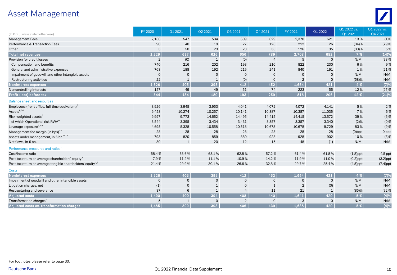### Asset Management



| (In $\epsilon$ m., unless stated otherwise)                             | <b>FY 2020</b> | Q1 2021      | Q2 2021             | Q3 2021        | Q4 2021        | FY 2021        | Q1 2022        | Q1 2022 vs.<br>Q1 2021 | Q1 2022 vs.<br>Q4 2021 |
|-------------------------------------------------------------------------|----------------|--------------|---------------------|----------------|----------------|----------------|----------------|------------------------|------------------------|
| <b>Management Fees</b>                                                  | 2,136          | 547          | 584                 | 609            | 629            | 2,370          | 621            | 13%                    | (1)%                   |
| Performance & Transaction Fees                                          | 90             | 40           | 19                  | 27             | 126            | 212            | 26             | (34)%                  | (79)%                  |
| Other                                                                   | 3              | 50           | 23                  | 20             | 33             | 126            | 35             | (30)%                  | 5 %                    |
| <b>Total net revenues</b>                                               | 2.229          | 637          | 626                 | 656            | 789            | 2,708          | 682            | 7 %                    | (14)%                  |
| Provision for credit losses                                             | $\overline{2}$ | (0)          | 1                   | (0)            | $\overline{4}$ | 5              | $\mathbf{0}$   | N/M                    | (98)%                  |
| Compensation and benefits                                               | 740            | 216          | 202                 | 193            | 210            | 822            | 230            | 6 %                    | 9%                     |
| General and administrative expenses                                     | 763            | 188          | 192                 | 219            | 241            | 840            | 191            | 1%                     | (21)%                  |
| Impairment of goodwill and other intangible assets                      | $\mathbf{0}$   | $\mathbf{0}$ | $\mathbf 0$         | $\mathbf 0$    | $\mathbf 0$    | $\mathbf 0$    | $\overline{0}$ | N/M                    | N/M                    |
| Restructuring activities                                                | 22             | $\mathbf{1}$ | $\mathbf{1}$        | (0)            | $\overline{0}$ | $\overline{2}$ | 0              | (58)%                  | N/M                    |
| Noninterest expenses                                                    | 1,526          | 405          | 395                 | 412            | 452            | 1,664          | 421            | 4 %                    | (7)%                   |
| Noncontrolling interests                                                | 157            | 49           | 49                  | 51             | 74             | 223            | 55             | 12%                    | (27)%                  |
| Profit (loss) before tax                                                | 544            | 184          | 180                 | 193            | 259            | 816            | 206            | 12 %                   | (21)%                  |
| <b>Balance sheet and resources</b>                                      |                |              |                     |                |                |                |                |                        |                        |
| Employees (front office, full-time equivalent) <sup>6</sup>             | 3,926          | 3,945        | 3,953               | 4,041          | 4,072          | 4,072          | 4,141          | 5 %                    | 2 %                    |
| Assets <sup>6,14</sup>                                                  | 9,453          | 10,274       | 10,257              | 10,141         | 10,387         | 10,387         | 11,036         | 7 %                    | 6%                     |
| Risk-weighted assets <sup>6</sup>                                       | 9,997          | 9,773        | 14,662              | 14,495         | 14,415         | 14,415         | 13,572         | 39%                    | (6)%                   |
| of which Operational risk RWA <sup>6</sup>                              | 3,544          | 3,395        | 3,434               | 3,431          | 3,357          | 3,357          | 3,340          | (2)%                   | (0)%                   |
| Leverage exposure <sup>6,7,8</sup>                                      | 4,695          | 5,328        | 10,558              | 10,518         | 10,678         | 10,678         | 9,729          | 83%                    | (9)%                   |
| Management fee margin (in bps) <sup>15</sup>                            | 28             | 28           | 28                  | 28             | 28             | 28             | 28             | $(0)$ bps              | 0 bps                  |
| Assets under management, in $\epsilon$ bn. $6.14$                       | 793            | 820          | 859                 | 880            | 928            | 928            | 902            | 10%                    | (3)%                   |
| Net flows, in € bn.                                                     | 30             | 1            | 20                  | 12             | 15             | 48             | (1)            | N/M                    | N/M                    |
| Performance measures and ratios <sup>1</sup>                            |                |              |                     |                |                |                |                |                        |                        |
| Cost/income ratio                                                       | 68.4%          | 63.6%        | 63.1%               | 62.8%          | 57.2%          | 61.4%          | 61.8%          | $(1.8)$ ppt            | 4.5 ppt                |
| Post-tax return on average shareholders' equity <sup>3</sup>            | 7.9%           | 11.2%        | 11.1%               | 10.9%          | 14.2%          | 11.9%          | 11.0%          | $(0.2)$ ppt            | $(3.2)$ ppt            |
| Post-tax return on average tangible shareholders' equity <sup>2,3</sup> | 21.4%          | 29.9%        | 30.1%               | 26.6%          | 32.8%          | 29.7%          | 25.4%          | $(4.5)$ ppt            | $(7.4)$ ppt            |
| <b>Costs</b>                                                            |                |              |                     |                |                |                |                |                        |                        |
| Noninterest expenses                                                    | 1,526          | 405          | 395                 | 412            | 452            | 1,664          | 421            | 4 %                    | (7)%                   |
| Impairment of goodwill and other intangible assets                      | $\mathbf 0$    | $\mathbf 0$  | $\mathsf{O}\xspace$ | $\mathbf 0$    | $\mathbf 0$    | $\mathbf 0$    | $\mathsf{O}$   | N/M                    | N/M                    |
| Litigation charges, net                                                 | (1)            | $\mathsf{O}$ | $\mathbf{1}$        | $\mathsf 0$    | $\mathbf{1}$   | $\overline{2}$ | (0)            | N/M                    | N/M                    |
| Restructuring and severance                                             | 37             | 6            | $\mathbf{1}$        | $\overline{4}$ | 11             | 21             | $\mathbf{1}$   | (85)%                  | (92)%                  |
| <b>Adjusted costs</b>                                                   | 1.490          | 400          | 394                 | 408            | 440            | 1.641          | 420            | 5 %                    | (4)%                   |
| Transformation charges <sup>1</sup>                                     | 5              | $\mathbf{1}$ | $\mathbf{0}$        | $\overline{2}$ | $\mathbf 0$    | 3              | $\mathbf 0$    | N/M                    | N/M                    |
| Adjusted costs ex. transformation charges                               | 1.485          | 399          | 393                 | 406            | 439            | 1.638          | 420            | 5 %                    | (4)%                   |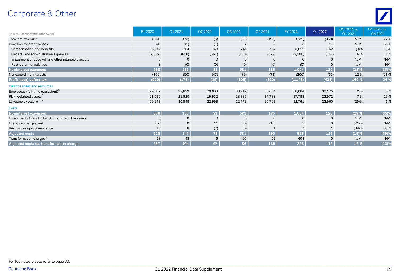### Corporate & Other



| (In $\epsilon$ m., unless stated otherwise)        | FY 2020     | Q1 2021      | Q2 2021     | Q3 2021        | Q4 2021      | FY 2021      | Q1 2022      | Q1 2022 vs.<br>Q1 2021 | Q1 2022 vs.<br>Q4 2021 |
|----------------------------------------------------|-------------|--------------|-------------|----------------|--------------|--------------|--------------|------------------------|------------------------|
| Total net revenues                                 | (534)       | (73)         | (6)         | (61)           | (199)        | (339)        | (353)        | N/M                    | 77 %                   |
| Provision for credit losses                        | (4)         | (1)          | (1)         | $\overline{2}$ | 6            | 5            | 11           | N/M                    | 68%                    |
| Compensation and benefits                          | 3,217       | 764          | 743         | 741            | 764          | 3,012        | 762          | (0)%                   | $(0)$ %                |
| General and administrative expenses                | (2,652)     | (608)        | (661)       | (160)          | (579)        | (2,008)      | (642)        | 6 %                    | 11%                    |
| Impairment of goodwill and other intangible assets | $\mathbf 0$ | 0            | $\mathbf 0$ | $\mathbf 0$    | 0            | $\mathbf{0}$ | 0            | N/M                    | N/M                    |
| Restructuring activities                           | 3           | (0)          | (0)         | (0)            | (0)          | (0)          | $\mathbf{0}$ | N/M                    | N/M                    |
| Noninterest expenses                               | 568         | 156          | 81          | 581            | 185          | 1,004        | 120          | (23)%                  | (35)%                  |
| Noncontrolling interests                           | (169)       | (50)         | (47)        | (39)           | (71)         | (206)        | (56)         | 12%                    | (21)%                  |
| Profit (loss) before tax                           | (929)       | (178)        | (39)        | (605)          | (320)        | (1, 143)     | (428)        | 140 %                  | 34 %                   |
| <b>Balance sheet and resources</b>                 |             |              |             |                |              |              |              |                        |                        |
| Employees (full-time equivalent) <sup>6</sup>      | 29,587      | 29,699       | 29,638      | 30,219         | 30,064       | 30,064       | 30,175       | 2%                     | 0%                     |
| Risk-weighted assets <sup>6</sup>                  | 21,690      | 21,520       | 19,932      | 18,389         | 17,783       | 17,783       | 22,972       | 7 %                    | 29%                    |
| Leverage exposure <sup>6,7,8</sup>                 | 29,243      | 30,848       | 22,998      | 22,773         | 22,761       | 22,761       | 22,960       | (26)%                  | 1%                     |
| <b>Costs</b>                                       |             |              |             |                |              |              |              |                        |                        |
| Noninterest expenses                               | 568         | 156          | 81          | 581            | 185          | 1,004        | 120          | (23)%                  | (35)%                  |
| Impairment of goodwill and other intangible assets | $\mathbf 0$ | $\mathsf{O}$ | $\mathbf 0$ | $\mathbf 0$    | $\mathbf{0}$ | $\mathbf 0$  | 0            | N/M                    | N/M                    |
| Litigation charges, net                            | (67)        | $\mathsf{O}$ | 11          | (0)            | (10)         |              | 0            | (71)%                  | N/M                    |
| Restructuring and severance                        | 10          | 8            | (2)         | (0)            | 1            |              |              | (89)%                  | 35 %                   |
| <b>Adjusted costs</b>                              | 625         | 147          | 73          | 581            | 195          | 996          | 119          | (19)%                  | (39)%                  |
| Transformation charges <sup>1</sup>                | 58          | 43           | 6           | 495            | 59           | 603          | $\Omega$     | N/M                    | N/M                    |
| Adjusted costs ex. transformation charges          | 567         | 104          | 67          | 86             | 136          | 393          | 119          | 15 %                   | (13)%                  |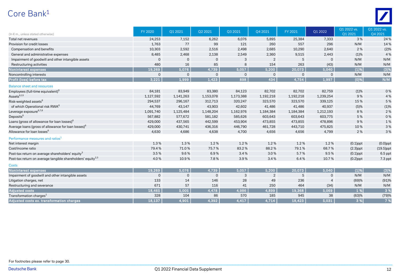### Core Bank 1



| (In $\epsilon$ m., unless stated otherwise)                             | FY 2020      | Q1 2021      | Q2 2021     | Q3 2021     | Q4 2021        | FY 2021      | Q1 2022        | Q1 2022 vs.<br>Q1 2021 | Q1 2022 vs.<br>Q4 2021 |
|-------------------------------------------------------------------------|--------------|--------------|-------------|-------------|----------------|--------------|----------------|------------------------|------------------------|
| Total net revenues                                                      | 24,253       | 7,152        | 6,262       | 6,076       | 5,895          | 25,384       | 7,333          | 3%                     | 24 %                   |
| Provision for credit losses                                             | 1,763        | 77           | 99          | 121         | 260            | 557          | 296            | N/M                    | 14%                    |
| Compensation and benefits                                               | 10,303       | 2,592        | 2,516       | 2,498       | 2,685          | 10,290       | 2,640          | 2%                     | (2)%                   |
| General and administrative expenses                                     | 8,485        | 2,468        | 2,138       | 2,549       | 2,360          | 9,515        | 2,443          | (1)%                   | 4 %                    |
| Impairment of goodwill and other intangible assets                      | $\mathbf 0$  | $\mathbf 0$  | $\mathbf 0$ | 3           | $\overline{2}$ | 5            | $\mathbf{0}$   | N/M                    | N/M                    |
| Restructuring activities                                                | 480          | 16           | 85          | 8           | 154            | 263          | (43)           | N/M                    | N/M                    |
| Noninterest expenses                                                    | 19,269       | 5,076        | 4,739       | 5,057       | 5,200          | 20,073       | 5,040          | (1)%                   | $(3)$ %                |
| Noncontrolling interests                                                | $\mathbf{0}$ | $\mathbf{0}$ | $\mathbf 0$ | $\mathbf 0$ | $\mathbf{0}$   | $\mathbf{0}$ | $\Omega$       | N/M                    | N/M                    |
| Profit (loss) before tax                                                | 3,221        | 1,999        | 1,423       | 898         | 434            | 4,754        | 1,997          | $(0)$ %                | N/M                    |
| <b>Balance sheet and resources</b>                                      |              |              |             |             |                |              |                |                        |                        |
| Employees (full-time equivalent) <sup>6</sup>                           | 84,181       | 83,949       | 83,380      | 84,123      | 82,702         | 82,702       | 82,759         | (1)%                   | 0%                     |
| Assets <sup>6,13</sup>                                                  | 1.127.592    | 1,141,263    | 1,153,078   | 1,173,388   | 1,192,218      | 1,192,218    | 1,239,254      | 9%                     | 4 %                    |
| Risk-weighted assets <sup>6</sup>                                       | 294,537      | 296,167      | 312,713     | 320,247     | 323,570        | 323,570      | 339,125        | 15 %                   | 5 %                    |
| of which Operational risk RWA <sup>6</sup>                              | 44,769       | 43,147       | 43,903      | 42,602      | 41,486         | 41,486       | 40,937         | (5)%                   | (1)%                   |
| Leverage exposure <sup>6,7,8</sup>                                      | 1,091,740    | 1,125,484    | 1,148,204   | 1,162,976   | 1,184,384      | 1,184,384    | 1,212,193      | 8%                     | 2%                     |
| Deposits <sup>6</sup>                                                   | 567,882      | 577,672      | 581,182     | 585,626     | 603,643        | 603,643      | 603,775        | 5 %                    | 0%                     |
| Loans (gross of allowance for loan losses) <sup>6</sup>                 | 429,000      | 437,565      | 442,599     | 453,904     | 473,855        | 473,855      | 478,896        | 9%                     | 1%                     |
| Average loans (gross of allowance for loan losses) <sup>6</sup>         | 429,000      | 430,741      | 436,316     | 446,790     | 461,728        | 443,710      | 475,825        | 10%                    | 3%                     |
| Allowance for loan losses <sup>6</sup>                                  | 4,630        | 4,686        | 4,638       | 4,700       | 4,656          | 4,656        | 4,799          | 2%                     | 3%                     |
| Performance measures and ratios <sup>1</sup>                            |              |              |             |             |                |              |                |                        |                        |
| Net interest margin                                                     | 1.3%         | 1.3%         | 1.2%        | 1.2%        | 1.2%           | 1.2%         | 1.2%           | $(0.1)$ ppt            | $(0.0)$ ppt            |
| Cost/income ratio                                                       | 79.4%        | 71.0%        | 75.7%       | 83.2%       | 88.2%          | 79.1%        | 68.7%          | $(2.3)$ ppt            | $(19.5)$ ppt           |
| Post-tax return on average shareholders' equity <sup>3</sup>            | 3.5%         | 9.6%         | 6.9%        | 3.4%        | 3.0%           | 5.7%         | 9.5%           | $(0.1)$ ppt            | 6.5 ppt                |
| Post-tax return on average tangible shareholders' equity <sup>2,3</sup> | 4.0%         | 10.9%        | 7.8%        | 3.9%        | 3.4%           | 6.4%         | 10.7%          | $(0.2)$ ppt            | 7.3 ppt                |
| <b>Costs</b>                                                            |              |              |             |             |                |              |                |                        |                        |
| Noninterest expenses                                                    | 19,269       | 5,076        | 4,739       | 5,057       | 5,200          | 20,073       | 5,040          | (1)%                   | (3)%                   |
| Impairment of goodwill and other intangible assets                      | $\mathbf{0}$ | $\mathbf{0}$ | $\mathbf 0$ | 3           | 2              | 5            | $\mathbf{0}$   | N/M                    | N/M                    |
| Litigation charges, net                                                 | 133          | 14           | 146         | 28          | 49             | 236          | $\overline{4}$ | (69)%                  | (91)%                  |
| Restructuring and severance                                             | 671          | 57           | 116         | 41          | 250            | 464          | (34)           | N/M                    | N/M                    |
| <b>Adjusted costs</b>                                                   | 18,465       | 5,005        | 4,478       | 4,986       | 4,899          | 19,368       | 5,069          | 1 %                    | 3%                     |
| Transformation charges <sup>1</sup>                                     | 328          | 104          | 86          | 570         | 185            | 945          | 38             | (63)%                  | (79)%                  |
| Adjusted costs ex. transformation charges                               | 18,137       | 4,901        | 4,392       | 4,417       | 4,714          | 18,423       | 5,031          | 3 %                    | 7 %                    |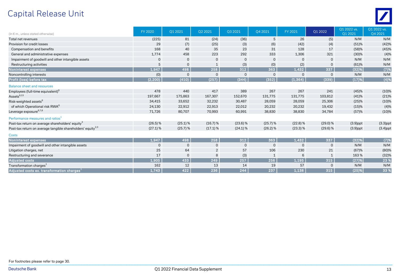### Capital Release Unit



| (In $\epsilon$ m., unless stated otherwise)                             | <b>FY 2020</b> | Q1 2021      | Q2 2021        | Q3 2021     | Q4 2021      | FY 2021      | Q1 2022      | Q1 2022 vs.<br>01 2021 | Q1 2022 vs.<br>Q4 2021 |
|-------------------------------------------------------------------------|----------------|--------------|----------------|-------------|--------------|--------------|--------------|------------------------|------------------------|
| Total net revenues                                                      | (225)          | 81           | (24)           | (36)        | 5            | 26           | (5)          | N/M                    | N/M                    |
| Provision for credit losses                                             | 29             | (7)          | (25)           | (3)         | (6)          | (42)         | (4)          | (51)%                  | (42)%                  |
| Compensation and benefits                                               | 168            | 40           | 35             | 23          | 31           | 128          | 17           | (58)%                  | (45)%                  |
| General and administrative expenses                                     | 1,774          | 458          | 223            | 292         | 333          | 1,306        | 321          | (30)%                  | (4)%                   |
| Impairment of goodwill and other intangible assets                      | $\mathbf 0$    | $\mathbf 0$  | $\mathbf 0$    | $\mathbf 0$ | $\mathbf 0$  | $\mathbf{0}$ | 0            | N/M                    | N/M                    |
| Restructuring activities                                                | 5              | $\mathbf 0$  | 1              | (3)         | (0)          | (2)          | 0            | (61)%                  | N/M                    |
| Noninterest expenses                                                    | 1.947          | 498          | 258            | 312         | 363          | 1,432        | 337          | (32)%                  | (7)%                   |
| Noncontrolling interests                                                | (0)            | $\mathbf{0}$ | $\mathbf 0$    | $\mathbf 0$ | $\mathbf{0}$ | $\Omega$     | $\Omega$     | N/M                    | N/M                    |
| Profit (loss) before tax                                                | (2, 200)       | (410)        | (257)          | (344)       | (352)        | (1, 364)     | (339)        | (17)%                  | (4)%                   |
| <b>Balance sheet and resources</b>                                      |                |              |                |             |              |              |              |                        |                        |
| Employees (full-time equivalent) <sup>6</sup>                           | 478            | 440          | 417            | 389         | 267          | 267          | 241          | (45)%                  | (10)%                  |
| Assets <sup>6,13</sup>                                                  | 197,667        | 175,863      | 167,307        | 152,670     | 131,775      | 131,775      | 103,812      | (41)%                  | (21)%                  |
| Risk-weighted assets <sup>6</sup>                                       | 34,415         | 33,652       | 32,232         | 30,487      | 28,059       | 28,059       | 25,306       | (25)%                  | (10)%                  |
| of which Operational risk RWA <sup>6</sup>                              | 24,130         | 22,912       | 22,913         | 22,012      | 20,232       | 20,232       | 19,432       | (15)%                  | (4)%                   |
| Leverage exposure <sup>6,7,8</sup>                                      | 71,726         | 80,707       | 70,993         | 60,991      | 38,830       | 38,830       | 34,784       | (57)%                  | (10)%                  |
| Performance measures and ratios <sup>1</sup>                            |                |              |                |             |              |              |              |                        |                        |
| Post-tax return on average shareholders' equity <sup>3</sup>            | $(26.5)$ %     | $(25.1)$ %   | (16.7) %       | $(23.6)$ %  | $(25.7)$ %   | $(22.8)$ %   | (29.0) %     | $(3.9)$ ppt            | $(3.3)$ ppt            |
| Post-tax return on average tangible shareholders' equity <sup>2,3</sup> | $(27.1)$ %     | $(25.7)$ %   | $(17.1)$ %     | $(24.1)\%$  | $(26.2)$ %   | $(23.3)\%$   | $(29.6)$ %   | $(3.9)$ ppt            | $(3.4)$ ppt            |
| <b>Costs</b>                                                            |                |              |                |             |              |              |              |                        |                        |
| <b>Noninterest expenses</b>                                             | 1,947          | 498          | 258            | $312$       | 363          | 1,432        | 337          | (32)%                  | (7)%                   |
| Impairment of goodwill and other intangible assets                      | $\mathbf 0$    | $\mathbf 0$  | $\mathbf 0$    | $\mathbf 0$ | $\mathbf{0}$ | $\mathbf 0$  | $\mathsf{O}$ | N/M                    | N/M                    |
| Litigation charges, net                                                 | 25             | 64           | $\overline{2}$ | 57          | 106          | 230          | 21           | (67)%                  | (80)%                  |
| Restructuring and severance                                             | 17             | $\mathbf{0}$ | 8              | (3)         | 1            | 6            | $\mathbf{1}$ | 163%                   | (32)%                  |
| <b>Adjusted costs</b>                                                   | 1.905          | 433          | 249            | 257         | 256          | 1,195        | 315          | (27)%                  | 23 %                   |
| Transformation charges <sup>1</sup>                                     | 162            | 12           | 13             | 14          | 19           | 57           | $\Omega$     | N/M                    | N/M                    |
| Adiusted costs ex. transformation charges $^{\circ}$                    | 1,743          | 422          | 236            | 244         | 237          | 1,138        | 315          | (25)%                  | 33 %                   |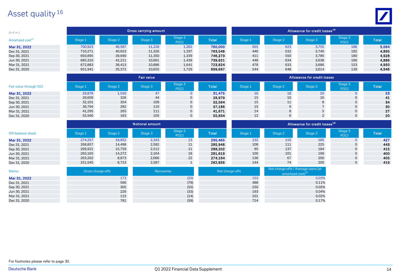### Asset quality <sup>16</sup>



| $(ln \in m.)$                |         |         | Gross carrying amount |                         |              |                             |                                           | Allowance for credit losses <sup>18</sup> |                        |              |  |  |
|------------------------------|---------|---------|-----------------------|-------------------------|--------------|-----------------------------|-------------------------------------------|-------------------------------------------|------------------------|--------------|--|--|
| Amortized cost <sup>17</sup> | Stage 1 | Stage 2 | Stage 3               | Stage 3<br><b>POCI</b>  | <b>Total</b> | Stage 1                     | Stage 2                                   | Stage 3                                   | Stage 3<br><b>POCI</b> | <b>Total</b> |  |  |
| Mar 31, 2022                 | 700,923 | 46,587  | 11,228                | 1,262                   | 760,000      | 501                         | 623                                       | 3,755                                     | 186                    | 5,064        |  |  |
| Dec 31, 2021                 | 710,271 | 40,653  | 11,326                | 1,297                   | 763,548      | 440                         | 532                                       | 3,740                                     | 182                    | 4,895        |  |  |
| Sep 30, 2021                 | 693,895 | 39,690  | 11,350                | 1,339                   | 746,273      | 411                         | 550                                       | 3,786                                     | 180                    | 4,928        |  |  |
| Jun 30, 2021                 | 685,310 | 42,211  | 10,661                | 1,439                   | 739,621      | 448                         | 634                                       | 3,638                                     | 166                    | 4,886        |  |  |
| Mar 31, 2021                 | 672,883 | 38,413  | 10,886                | 1,641                   | 723,824      | 478                         | 633                                       | 3,686                                     | 153                    | 4,950        |  |  |
| Dec 31, 2020                 | 651,941 | 35,372  | 10,655                | 1,729                   | 699,697      | 544                         | 648                                       | 3,614                                     | 139                    | 4,946        |  |  |
|                              |         |         | <b>Fair value</b>     |                         |              | Allowance for credit losses |                                           |                                           |                        |              |  |  |
| Fair value through OCI       | Stage 1 | Stage 2 | Stage 3               | Stage 3<br>POCI         | <b>Total</b> | Stage 1                     | Stage 2                                   | Stage 3                                   | Stage 3<br><b>POCI</b> | <b>Total</b> |  |  |
| Mar 31, 2022                 | 29,878  | 1,550   | 47                    | $\mathbf{0}$            | 31,475       | 16                          | 18                                        | 20                                        | $\overline{0}$         | 53           |  |  |
| Dec 31, 2021                 | 28,609  | 326     | 44                    | 0                       | 28,979       | 15                          | 10                                        | 16                                        | 0                      | 41           |  |  |
| Sep 30, 2021                 | 32,101  | 354     | 109                   | 0                       | 32,564       | 15                          | 11                                        | 8                                         | $\mathsf{O}$           | 34           |  |  |
| Jun 30, 2021                 | 36,794  | 282     | 110                   | 0                       | 37,186       | 15                          | 9                                         |                                           | $\mathbf{0}$           | 30           |  |  |
| Mar 31, 2021                 | 41,295  | 265     | 111                   | 0                       | 41,671       | 14                          | 8                                         | 5                                         | $\mathsf{O}$           | 27           |  |  |
| Dec 31, 2020                 | 55,566  | 163     | 105                   | $\mathbf 0$             | 55,834       | 12                          | 6                                         | $\overline{2}$                            | $\mathsf{O}$           | 20           |  |  |
|                              |         |         |                       |                         |              |                             | Allowance for credit losses <sup>18</sup> |                                           |                        |              |  |  |
| Off-balance sheet            | Stage 1 | Stage 2 | Stage 3               | Stage 3<br>$B^{\prime}$ | <b>Total</b> | Stage 1                     | Stage 2                                   | Stage 3                                   | Stage 3<br>$R_{\rm A}$ | <b>Total</b> |  |  |

| Off-balance sheet | Stage 1 | <b>tage 2</b> | tage 3 | Stage 3<br><b>POCI</b> | <b>Total</b> | `tage 1 | Stage 2 |     | Stage 3.<br>POCI | <b>Total</b> |
|-------------------|---------|---------------|--------|------------------------|--------------|---------|---------|-----|------------------|--------------|
| Mar 31, 2022      | 274,257 | 18,852        | 2,343  |                        | 295,465      | 132     | 110     | 185 |                  | 427          |
| Dec 31, 2021      | 268,857 | 14,498        | 2,582  | 11                     | 285,948      | 108     | 111     | 225 |                  | 443          |
| Sep 30, 2021      | 269,921 | 15,759        | 2,512  | 11                     | 288.202      | 95      | 137     | 184 |                  | 415          |
| Jun 30, 2021      | 265,165 | 14,272        | 2,164  | 18                     | 281,619      | 100     | 101     | 199 |                  | 400          |
| Mar 31, 2021      | 263,202 | 8,873         | 2,066  | 22                     | 274.164      | 138     | 67      | 200 |                  | 405          |
| Dec 31, 2020      | 251,545 | 8,723         | 2,587  |                        | 262,856      | 144     |         | 200 |                  | 419          |

| Memo         | Gross charge-offs | Recoveries | Net charge-offs | Net charge-offs / Average loans (at<br>amortized cost) <sup>22</sup> |
|--------------|-------------------|------------|-----------------|----------------------------------------------------------------------|
| Mar 31, 2022 | 173               | (20)       | 153             | 0.03%                                                                |
| Dec 31, 2021 | 566               | (78)       | 488             | 0.11%                                                                |
| Sep 30, 2021 | 305               | (55)       | 250             | 0.05%                                                                |
| Jun 30, 2021 | 226               | (33)       | 193             | 0.04%                                                                |
| Mar 31, 2021 | 115               | (14)       | 101             | 0.02%                                                                |
| Dec 31, 2020 | 781               | (58)       | 724             | 0.17%                                                                |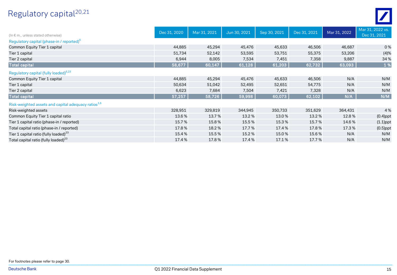### Regulatory capital 20,21



| (In $\epsilon$ m., unless stated otherwise)                     | Dec 31, 2020 | Mar 31, 2021 | Jun 30, 2021 | Sep 30, 2021 | Dec 31, 2021 | Mar 31, 2022 | Mar 31, 2022 vs.<br>Dec 31, 2021 |
|-----------------------------------------------------------------|--------------|--------------|--------------|--------------|--------------|--------------|----------------------------------|
| Regulatory capital (phase-in / reported) <sup>6</sup>           |              |              |              |              |              |              |                                  |
| Common Equity Tier 1 capital                                    | 44,885       | 45,294       | 45,476       | 45,633       | 46,506       | 46,687       | 0%                               |
| Tier 1 capital                                                  | 51,734       | 52,142       | 53,595       | 53,751       | 55,375       | 53,206       | (4)%                             |
| Tier 2 capital                                                  | 6,944        | 8,005        | 7,534        | 7,451        | 7,358        | 9,887        | 34 %                             |
| <b>Total capital</b>                                            | 58,677       | 60,147       | 61,128       | 61,203       | 62,732       | 63,093       | 1 %                              |
| Regulatory capital (fully loaded) <sup>6,23</sup>               |              |              |              |              |              |              |                                  |
| Common Equity Tier 1 capital                                    | 44,885       | 45,294       | 45,476       | 45,633       | 46,506       | N/A          | N/M                              |
| Tier 1 capital                                                  | 50,634       | 51,042       | 52,495       | 52,651       | 54,775       | N/A          | N/M                              |
| Tier 2 capital                                                  | 6,623        | 7,684        | 7,504        | 7,421        | 7,328        | N/A          | N/M                              |
| <b>Total capital</b>                                            | 57,257       | 58,726       | 59,998       | 60,073       | 62,102       | N/A          | N/M                              |
| Risk-weighted assets and capital adequacy ratios <sup>1,6</sup> |              |              |              |              |              |              |                                  |
| Risk-weighted assets                                            | 328,951      | 329,819      | 344,945      | 350,733      | 351,629      | 364,431      | 4 %                              |
| Common Equity Tier 1 capital ratio                              | 13.6%        | 13.7%        | 13.2 %       | 13.0%        | 13.2%        | 12.8%        | $(0.4)$ ppt                      |
| Tier 1 capital ratio (phase-in / reported)                      | 15.7%        | 15.8%        | 15.5 %       | 15.3%        | 15.7%        | 14.6%        | $(1.1)$ ppt                      |
| Total capital ratio (phase-in / reported)                       | 17.8%        | 18.2%        | 17.7%        | 17.4%        | 17.8%        | 17.3%        | $(0.5)$ ppt                      |
| Tier 1 capital ratio (fully loaded) $^{23}$                     | 15.4%        | 15.5%        | 15.2%        | 15.0%        | 15.6%        | N/A          | N/M                              |
| Total capital ratio (fully loaded) <sup>23</sup>                | 17.4%        | 17.8%        | 17.4%        | 17.1%        | 17.7%        | N/A          | N/M                              |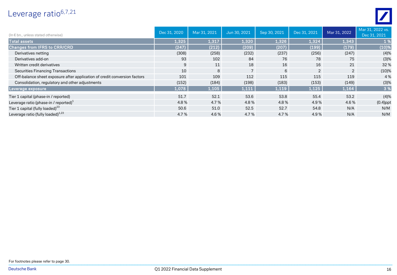### Leverage ratio<sup>6,7,21</sup>



| (In $\epsilon$ bn., unless stated otherwise)                              | Dec 31, 2020 | Mar 31, 2021 | Jun 30, 2021   | Sep 30, 2021 | Dec 31, 2021 | Mar 31, 2022   | Mar 31, 2022 vs.<br>Dec 31, 2021 |
|---------------------------------------------------------------------------|--------------|--------------|----------------|--------------|--------------|----------------|----------------------------------|
| <b>Total assets</b>                                                       | 1,325        | 1,317        | 1,320          | 1,326        | 1,324        | 1,343          | 1%                               |
| Changes from IFRS to CRR/CRD                                              | (247)        | (212)        | (209)          | (207)        | (199)        | (179)          | (10)%                            |
| Derivatives netting                                                       | (308)        | (258)        | (232)          | (237)        | (256)        | (247)          | (4)%                             |
| Derivatives add-on                                                        | 93           | 102          | 84             | 76           | 78           | 75             | (3)%                             |
| Written credit derivatives                                                | 9            | 11           | 18             | 16           | 16           | 21             | 32%                              |
| <b>Securities Financing Transactions</b>                                  | 10           | 8            | $\overline{7}$ | 6            | 2            | $\overline{2}$ | (10)%                            |
| Off-balance sheet exposure after application of credit conversion factors | 101          | 109          | 112            | 115          | 115          | 119            | 4 %                              |
| Consolidation, regulatory and other adjustments                           | (152)        | (184)        | (198)          | (183)        | (153)        | (149)          | (3)%                             |
| Leverage exposure                                                         | 1,078        | 1,105        | 1,111          | 1,119        | 1,125        | 1,164          | 3 %                              |
| Tier 1 capital (phase-in / reported)                                      | 51.7         | 52.1         | 53.6           | 53.8         | 55.4         | 53.2           | (4)%                             |
| Leverage ratio (phase-in / reported) $1$                                  | 4.8%         | 4.7%         | 4.8%           | 4.8%         | 4.9%         | 4.6%           | $(0.4)$ ppt                      |
| Tier 1 capital (fully loaded) <sup>23</sup>                               | 50.6         | 51.0         | 52.5           | 52.7         | 54.8         | N/A            | N/M                              |
| Leverage ratio (fully loaded) $^{1,23}$                                   | 4.7%         | 4.6%         | 4.7 %          | 4.7%         | 4.9%         | N/A            | N/M                              |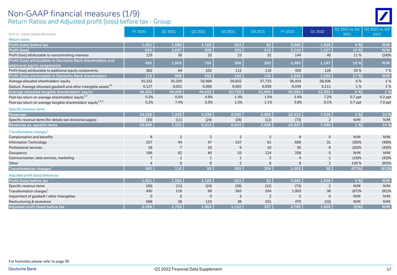#### Return Ratios and Adjusted profit (loss) before tax - Group Non-GAAP financial measures (1/9)



| (In € m., unless stated otherwise)                                                           | FY 2020  | Q1 2021        | Q2 2021        | Q3 2021        | Q4 2021        | FY 2021        | Q1 2022        | Q1 2022 vs. Q1<br>2021 | Q1 2022 vs. Q4<br>2021 |
|----------------------------------------------------------------------------------------------|----------|----------------|----------------|----------------|----------------|----------------|----------------|------------------------|------------------------|
| <b>Return ratios</b>                                                                         |          |                |                |                |                |                |                |                        |                        |
| Profit (loss) before tax                                                                     | 1.021    | 1,589          | 1,165          | 554            | 82             | 3,390          | 1,658          | 4 %                    | N/M                    |
| <b>Profit (loss)</b>                                                                         | 624      | 1,037          | 828            | 329            | 315            | 2,510          | 1,227          | 18 %                   | N/M                    |
| Profit (loss) attributable to noncontrolling interests                                       | 129      | 36             | 33             | 23             | 52             | 144            | 40             | 11%                    | (24)%                  |
| Profit (loss) attributable to Deutsche Bank shareholders and<br>additional equity components | 495      | 1,002          | 795            | 306            | 263            | 2,365          | 1,187          | 18 %                   | N/M                    |
| Profit (loss) attributable to additional equity components                                   | 382      | 94             | 102            | 112            | 118            | 426            | 126            | 35%                    | 7%                     |
| Profit (loss) attributable to Deutsche Bank shareholders                                     | 113      | 908            | 692            | 194            | 145            | 1,940          | 1,060          | 17 %                   | N/M                    |
| Average allocated shareholders' equity                                                       | 55,332   | 55,320         | 55,998         | 56,832         | 57,733         | 56,434         | 58,506         | 6%                     | 1%                     |
| Deduct: Average allocated goodwill and other intangible assets <sup>19</sup>                 | 6,127    | 6,021          | 6,066          | 6,082          | 6,038          | 6,049          | 6,111          | 1%                     | 1%                     |
| Average allocated tangible shareholders' equity                                              | 49.205   | 49.298         | 49,932         | 50.750         | 51,695         | 50,385         | 52,395         | 6 %                    | 1 %                    |
| Post-tax return on average shareholders' equity <sup>1,3</sup>                               | 0.2%     | 6.6%           | 4.9%           | 1.4%           | 1.0%           | 3.4%           | 7.2%           | $0.7$ ppt              | 6.2 ppt                |
| Post-tax return on average tangible shareholders' equity <sup>1,2,3</sup>                    | 0.2%     | 7.4%           | 5.5%           | 1.5%           | 1.1%           | 3.8%           | 8.1%           | $0.7$ ppt              | 7.0 ppt                |
| Specific revenue items                                                                       |          |                |                |                |                |                |                |                        |                        |
| <b>Revenues</b>                                                                              | 24,028   | 7,233          | 6,238          | 6,040          | 5,900          | 25,410         | 7,328          | 1 %                    | 24 %                   |
| Specific revenue items (for details see divisional pages)                                    | (30)     | (11)           | (24)           | (26)           | (12)           | (73)           | $\overline{2}$ | N/M                    | N/M                    |
| Revenues ex. specific items                                                                  | 23,998   | 7.222          | 6,214          | 6.014          | 5,888          | 25,337         | 7,330          | 1 %                    | 24 %                   |
| Transformation charges <sup>1</sup>                                                          |          |                |                |                |                |                |                |                        |                        |
| Compensation and benefits                                                                    | 8        | $\overline{2}$ | $\overline{2}$ | $\overline{2}$ | $\overline{2}$ | 8              | $\mathbf 0$    | N/M                    | N/M                    |
| <b>Information Technology</b>                                                                | 257      | 44             | 47             | 537            | 61             | 689            | 31             | (30)%                  | (49)%                  |
| Professional services                                                                        | 18       | $\overline{7}$ | 10             | 9              | 10             | 35             | 6              | (20)%                  | (43)%                  |
| Occupancy                                                                                    | 196      | 62             | 40             | 33             | 124            | 258            | $\mathbf 0$    | N/M                    | N/M                    |
| Communication, data services, marketing                                                      | 7        | $\mathbf{1}$   | $\mathbf{1}$   | $\mathbf{1}$   | $\overline{2}$ | $\overline{4}$ | 1              | (18)%                  | (42)%                  |
| Other                                                                                        | 4        | $\mathbf 0$    | $\mathbf 0$    | $\overline{2}$ | 6              | 8              | $\mathbf{1}$   | 128%                   | $(85)$ %               |
| Transformation charges <sup>1</sup>                                                          | 490      | 116            | 99             | 583            | 204            | 1.003          | 38             | (67)%                  | (81)%                  |
| Adjusted profit (loss) before tax                                                            |          |                |                |                |                |                |                |                        |                        |
| Profit (loss) before tax                                                                     | 1.021    | 1.589          | 1.165          | 554            | 82             | 3,390          | 1.658          | 4 %                    | N/M                    |
| Specific revenue items                                                                       | (30)     | (11)           | (24)           | (26)           | (12)           | (73)           | $\overline{2}$ | N/M                    | N/M                    |
| Transformation charges <sup>1</sup>                                                          | 490      | 116            | 99             | 583            | 204            | 1,003          | 38             | (67)%                  | (81)%                  |
| Impairment of goodwill / other intangibles                                                   | $\Omega$ | $\Omega$       | $\mathbf 0$    | 3              | $\overline{2}$ | 5              | $\overline{0}$ | N/M                    | N/M                    |
| Restructuring & severance                                                                    | 688      | 58             | 123            | 38             | 251            | 470            | (33)           | N/M                    | N/M                    |
| Adjusted profit (loss) before tax                                                            | 2.169    | 1,752          | 1,364          | 1,152          | 527            | 4,795          | 1,666          | (5)%                   | N/M                    |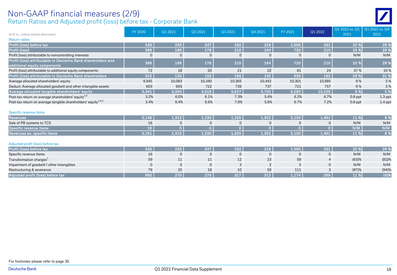#### Return Ratios and Adjusted profit (loss) before tax - Corporate Bank Non-GAAP financial measures (2/9)

| (In $\epsilon$ m., unless stated otherwise)                                                  | FY 2020     | Q1 2021        | Q2 2021      | Q3 2021        | Q4 2021        | FY 2021        | Q1 2022        | Q1 2022 vs. Q1<br>2021 | 01 2022 vs. 04<br>2021 |
|----------------------------------------------------------------------------------------------|-------------|----------------|--------------|----------------|----------------|----------------|----------------|------------------------|------------------------|
| <b>Return ratios</b>                                                                         |             |                |              |                |                |                |                |                        |                        |
| Profit (loss) before tax                                                                     | 539         | 233            | 247          | 292            | 228            | 1,000          | 291            | 25 %                   | 28 %                   |
| Profit (loss)                                                                                | 388         | 168            | 178          | 210            | 164            | 720            | 210            | 25 %                   | 28 %                   |
| Profit (loss) attributable to noncontrolling interests                                       | $\mathbf 0$ | $\mathbf{0}$   | $\Omega$     | $\mathbf 0$    | $\Omega$       | $\mathbf 0$    | $\mathbf 0$    | N/M                    | N/M                    |
| Profit (loss) attributable to Deutsche Bank shareholders and<br>additional equity components | 388         | 168            | 178          | 210            | 164            | 720            | 210            | 25 %                   | 28 %                   |
| Profit (loss) attributable to additional equity components                                   | 72          | 18             | 20           | 21             | 22             | 81             | 24             | 37 %                   | 10%                    |
| Profit (loss) attributable to Deutsche Bank shareholders                                     | 315         | 150            | 158          | 189            | 142            | 639            | 185            | 23 %                   | 31 %                   |
| Average allocated shareholders' equity                                                       | 9,945       | 10,083         | 10,340       | 10,365         | 10,442         | 10,301         | 10,985         | 9%                     | 5 %                    |
| Deduct: Average allocated goodwill and other intangible assets                               | 603         | 693            | 722          | 739            | 737            | 721            | 757            | 9%                     | 3%                     |
| Average allocated tangible shareholders' equity                                              | 9,341       | 9,390          | 9,618        | 9,627          | 9,705          | 9,580          | 10,228         | 9%                     | 5 %                    |
| Post-tax return on average shareholders' equity <sup>1,3</sup>                               | 3.2%        | 6.0%           | 6.1%         | 7.3%           | 5.4%           | 6.2%           | 6.7%           | $0.8$ ppt              | $1.3$ ppt              |
| Post-tax return on average tangible shareholders' equity <sup>1,2,3</sup>                    | 3.4%        | 6.4%           | 6.6%         | 7.8%           | 5.8%           | 6.7%           | 7.2%           | $0.8$ ppt              | $1.4$ ppt              |
| Specific revenue items                                                                       |             |                |              |                |                |                |                |                        |                        |
| <b>Revenues</b>                                                                              | 5,146       | 1,313          | 1,230        | 1,255          | 1,352          | 5,150          | 1,461          | 11 %                   | 8 %                    |
| Sale of PB systems to TCS                                                                    | 16          | $\mathbf 0$    | $\mathbf 0$  | $\Omega$       | $\Omega$       | $\Omega$       | $\mathbf 0$    | N/M                    | N/M                    |
| Specific revenue items                                                                       | 16          | $\overline{0}$ | $\mathbf{0}$ | $\overline{0}$ | $\mathbf{O}$   | $\overline{0}$ | $\overline{0}$ | N/M                    | N/M                    |
| Revenues ex. specific items                                                                  | 5.161       | 1,313          | 1,230        | 1,255          | 1,352          | 5,150          | 1,461          | 11 %                   | 8 %                    |
| Adjusted profit (loss) before tax                                                            |             |                |              |                |                |                |                |                        |                        |
| Profit (loss) before tax                                                                     | 539         | 233            | 247          | 292            | 228            | 1,000          | 291            | 25 %                   | 28 %                   |
| Specific revenue items                                                                       | 16          | $\mathbf{0}$   | $\mathbf{0}$ | $\mathbf 0$    | 0              | $\mathbf 0$    | $\mathbf 0$    | N/M                    | N/M                    |
| Transformation charges <sup>1</sup>                                                          | 59          | 11             | 11           | 12             | 23             | 58             | 4              | (63)%                  | (82)%                  |
| Impairment of goodwill / other intangibles                                                   | $\mathbf 0$ | $\mathbf{0}$   | $\mathbf 0$  | 3              | $\overline{2}$ | 5              | $\mathbf 0$    | N/M                    | N/M                    |
| Restructuring & severance                                                                    | 79          | 25             | 18           | 10             | 59             | 111            | 3              | (87)%                  | (94)%                  |
| Adjusted profit (loss) before tax                                                            | 692         | 270            | 276          | 317            | 312            | 1,174          | 299            | 11 %                   | (4)%                   |

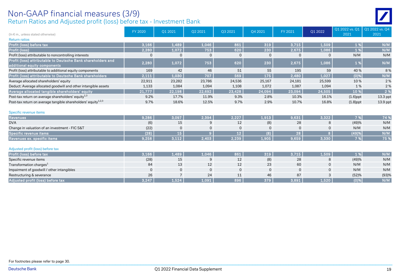## Non-GAAP financial measures (3/9)

Return Ratios and Adjusted profit (loss) before tax - Investment Bank

| (In $\epsilon$ m., unless stated otherwise)                                                  | FY 2020     | Q1 2021        | Q2 2021      | Q3 2021         | Q4 2021      | FY 2021      | Q1 2022      | Q1 2022 vs. Q1   Q1 2022 vs. Q4<br>2021 | 2021       |
|----------------------------------------------------------------------------------------------|-------------|----------------|--------------|-----------------|--------------|--------------|--------------|-----------------------------------------|------------|
| <b>Return ratios</b>                                                                         |             |                |              |                 |              |              |              |                                         |            |
| Profit (loss) before tax                                                                     | 3,166       | 1,489          | 1,046        | 861             | 319          | 3,715        | 1,509        | 1 %                                     | N/M        |
| Profit (loss)                                                                                | 2,280       | 1,072          | 753          | 620             | 230          | 2,675        | 1,086        | 1 %                                     | N/M        |
| Profit (loss) attributable to noncontrolling interests                                       | $\Omega$    | $\Omega$       | $\mathbf 0$  | $\mathbf 0$     | $\Omega$     | $\mathbf 0$  | $\Omega$     | N/M                                     | N/M        |
| Profit (loss) attributable to Deutsche Bank shareholders and<br>additional equity components | 2,280       | 1,072          | 753          | 620             | 230          | 2,675        | 1,086        | 1 %                                     | N/M        |
| Profit (loss) attributable to additional equity components                                   | 169         | 42             | 46           | 51              | 55           | 195          | 59           | 40 %                                    | 8 %        |
| Profit (loss) attributable to Deutsche Bank shareholders                                     | 2,111       | 1,030          | 707          | 569             | 175          | 2,480        | 1,027        | $(0)$ %                                 | N/M        |
| Average allocated shareholders' equity                                                       | 22,911      | 23,282         | 23,786       | 24,536          | 25,167       | 24,181       | 25,599       | 10%                                     | 2%         |
| Deduct: Average allocated goodwill and other intangible assets                               | 1,133       | 1,084          | 1,094        | 1,108           | 1,072        | 1,087        | 1,094        | 1%                                      | 2 %        |
| Average allocated tangible shareholders' equity                                              | 21,777      | 22,198         | 22,692       | 23,428          | 24,094       | 23,094       | 24,505       | 10 %                                    | 2 %        |
| Post-tax return on average shareholders' equity <sup>1,3</sup>                               | 9.2%        | 17.7%          | 11.9%        | 9.3%            | 2.8%         | 10.3%        | 16.1%        | $(1.6)$ ppt                             | 13.3 ppt   |
| Post-tax return on average tangible shareholders' equity <sup>1,2,3</sup>                    | 9.7%        | 18.6%          | 12.5%        | 9.7%            | 2.9%         | 10.7%        | 16.8%        | $(1.8)$ ppt                             | $13.9$ ppt |
| Specific revenue items                                                                       |             |                |              |                 |              |              |              |                                         |            |
| <b>Revenues</b>                                                                              | 9,286       | 3,097          | 2,394        | 2,227           | 1,913        | 9,631        | 3,322        | 7 %                                     | 74 %       |
| <b>DVA</b>                                                                                   | (6)         | 15             | 9            | 12              | (8)          | 28           | 8            | (49)%                                   | N/M        |
| Change in valuation of an investment - FIC S&T                                               | (22)        | $\Omega$       | $\mathbf{0}$ | $\mathbf 0$     | $\Omega$     | $\mathbf 0$  | $\mathbf 0$  | N/M                                     | N/M        |
| Specific revenue items                                                                       | (28)        | 15             |              | 12 <sup>°</sup> | (8)          | 28           | 8            | (49)%                                   | N/M        |
| Revenues ex. specific items                                                                  | 9,258       | 3,112          | 2,403        | 2,239           | 1,905        | 9,659        | 3,330        | 7 %                                     | 75 %       |
| Adjusted profit (loss) before tax                                                            |             |                |              |                 |              |              |              |                                         |            |
| Profit (loss) before tax                                                                     | 3.166       | 1,489          | 1,046        | 861             | 319          | 3,715        | 1,509        | 1%                                      | N/M        |
| Specific revenue items                                                                       | (28)        | 15             | 9            | 12              | (8)          | 28           | 8            | (49)%                                   | N/M        |
| Transformation charges <sup>1</sup>                                                          | 84          | 13             | 12           | 12              | 23           | 60           | $\mathbf 0$  | N/M                                     | N/M        |
| Impairment of goodwill / other intangibles                                                   | $\mathbf 0$ | $\Omega$       | $\mathbf 0$  | $\mathbf 0$     | $\mathbf{0}$ | $\mathbf{0}$ | $\mathbf{0}$ | N/M                                     | N/M        |
| Restructuring & severance                                                                    | 26          | $\overline{7}$ | 24           | 11              | 46           | 87           | 3            | (52)%                                   | (93)%      |
| Adjusted profit (loss) before tax                                                            | 3,247       | 1,524          | 1,091        | 896             | 379          | 3,891        | 1,520        | $(0)$ %                                 | N/M        |

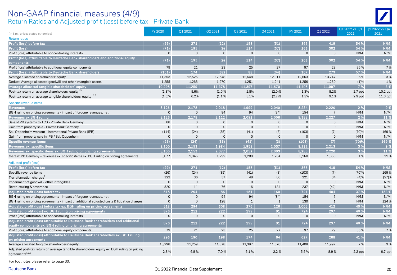#### Return Ratios and Adjusted profit (loss) before tax - Private Bank Non-GAAP financial measures (4/9)

| (In € m., unless stated otherwise)                                                                                         | FY 2020      | Q1 2021        | Q2 2021  | Q3 2021        | Q4 2021        | FY 2021  | Q1 2022         | Q1 2022 vs. Q1<br>2021 | Q1 2022 vs. Q4<br>2021 |
|----------------------------------------------------------------------------------------------------------------------------|--------------|----------------|----------|----------------|----------------|----------|-----------------|------------------------|------------------------|
| <b>Return ratios</b>                                                                                                       |              |                |          |                |                |          |                 |                        |                        |
| Profit (loss) before tax                                                                                                   | (99)         | 271            | (12)     | 158            | (51)           | 366      | 419             | 54 %                   | N/M                    |
| Profit (loss)                                                                                                              | (71)         | 195            | (9)      | 114            | (37)           | 263      | 302             | 54 %                   | N/M                    |
| Profit (loss) attributable to noncontrolling interests                                                                     | $\mathbf 0$  | $\mathbf{0}$   | $\Omega$ | $\mathbf{0}$   | $\overline{0}$ | $\Omega$ | $\mathbf{0}$    | N/M                    | N/M                    |
| Profit (loss) attributable to Deutsche Bank shareholders and additional equity<br>components                               | (71)         | 195            | (9)      | 114            | (37)           | 263      | 302             | 54 %                   | N/M                    |
| Profit (loss) attributable to additional equity components                                                                 | 79           | 21             | 23       | 25             | 27             | 97       | 29              | 35 %                   | 7 %                    |
| Profit (loss) attributable to Deutsche Bank shareholders                                                                   | (151)        | 174            | (32)     | 88             | (64)           | 167      | 273             | 57 %                   | N/M                    |
| Average allocated shareholders' equity                                                                                     | 11,553       | 12,526         | 12,648   | 12,648         | 12,911         | 12,663   | 13,247          | 6%                     | 3%                     |
| Deduct: Average allocated goodwill and other intangible assets                                                             | 1,255        | 1,266          | 1,270    | 1,251          | 1,241          | 1,256    | 1,250           | (1)%                   | 1 %                    |
| Average allocated tangible shareholders' equity                                                                            | 10,298       | 11,259         | 11.378   | 11,397         | 11.670         | 11,408   | 11.997          | 7 %                    | 3%                     |
| Post-tax return on average shareholders' equity <sup>1,3</sup>                                                             | (1.3)%       | 5.6%           | (1.0)%   | 2.8%           | (2.0)%         | 1.3%     | 8.2%            | $2.7$ ppt              | $10.2$ ppt             |
| Post-tax return on average tangible shareholders' equity <sup>1,2,3</sup>                                                  | (1.5)%       | 6.2%           | (1.1)%   | 3.1%           | (2.2)%         | 1.5%     | 9.1%            | $2.9$ ppt              | 11.3 ppt               |
|                                                                                                                            |              |                |          |                |                |          |                 |                        |                        |
| Specific revenue items                                                                                                     |              |                |          |                |                |          |                 |                        |                        |
| <b>Revenues</b>                                                                                                            | 8.126        | 2,178          | 2.018    | 1.999          | 2,040          | 8,234    | 2.220           | 2%                     | 9 %                    |
| BGH ruling on pricing agreements - impact of forgone revenues, net                                                         | $\mathbf 0$  | $\Omega$       | 94       | 94             | (34)           | 154      | $\overline{7}$  | N/M                    | N/M                    |
| <b>Revenues ex BGH ruling</b>                                                                                              | 8,126        | 2,178          | 2,112    | 2,092          | 2,006          | 8,388    | 2,227           | 2%                     | 11 %                   |
| Sale of PB systems to TCS - Private Bank Germany                                                                           | 88           | $\mathbf{0}$   | $\Omega$ | $\mathbf 0$    | $\mathbf{0}$   | $\Omega$ | $\Omega$        | N/M                    | N/M                    |
| Gain from property sale - Private Bank Germany                                                                             | $\mathbf 0$  | $\mathbf{0}$   | $\Omega$ | $\mathbf 0$    | $\overline{0}$ | $\Omega$ | $\Omega$        | N/M                    | N/M                    |
| Sal. Oppenheim workout - International Private Bank (IPB)                                                                  | (114)        | (24)           | (35)     | (41)           | (3)            | (103)    | (7)             | (70)%                  | 169%                   |
| Gain from property sale in IPB / Sal. Oppenheim                                                                            | $\mathbf{0}$ | $\mathbf 0$    | $\Omega$ | $\Omega$       | $\mathbf 0$    | $\Omega$ | $\Omega$        | N/M                    | N/M                    |
| Specific revenue items                                                                                                     | (26)         | (24)           | (35)     | (41)           | (3)            | (103)    | (7)             | (70)%                  | 169 %                  |
| Revenues ex. specific items                                                                                                | 8.100        | 2,153          | 1,984    | 1,958          | 2,037          | 8,132    | 2,213           | 3%                     | 9 %                    |
| Revenues ex. specific items ex. BGH ruling on pricing agreements                                                           | 8,100        | 2,153          | 2,077    | 2,052          | 2,003          | 8,285    | 2,220           | 3 %                    | 11 %                   |
| therein: PB Germany - revenues ex. specific items ex. BGH ruling on pricing agreements                                     | 5,077        | 1,346          | 1,292    | 1,289          | 1,234          | 5,160    | 1,366           | 1%                     | 11%                    |
| <b>Adjusted profit (loss)</b>                                                                                              |              |                |          |                |                |          |                 |                        |                        |
| Profit (loss) before tax                                                                                                   | (99)         | 271            | (12)     | 158            | (51)           | 366      | 419             | 54 %                   | N/M                    |
| Specific revenue items                                                                                                     | (26)         | (24)           | (35)     | (41)           | (3)            | (103)    | (7)             | (70)%                  | 169%                   |
| Transformation charges <sup>1</sup>                                                                                        | 122          | 36             | 57       | 48             | 80             | 221      | 34              | (4)%                   | (57)%                  |
| Impairment of goodwill / other intangibles                                                                                 | $\mathbf 0$  | $\overline{0}$ | $\Omega$ | $\overline{0}$ | $\mathbf{0}$   | $\Omega$ | $\mathbf 0$     | N/M                    | N/M                    |
| Restructuring & severance                                                                                                  | 520          | 11             | 76       | 16             | 134            | 237      | (42)            | N/M                    | N/M                    |
| Adjusted profit (loss) before tax                                                                                          | 518          | 294            | 86       | 181            | 160            | 721      | 404             | 37 %                   | 153 %                  |
| BGH ruling on pricing agreements - impact of forgone revenues, net                                                         | $\mathbf 0$  | $\overline{0}$ | 94       | 94             | (34)           | 154      | $7\overline{ }$ | N/M                    | N/M                    |
| BGH ruling on pricing agreements - impact of additional adjusted costs & litigation charges                                | $\mathbf 0$  | $\mathbf{0}$   | 128      | $\mathbf{1}$   | 1              | 130      | $\mathbf{1}$    | N/M                    | 124 %                  |
| Adjusted profit (loss) before tax ex. BGH ruling on pricing agreements                                                     | 518          | 294            | 308      | 276            | 126            | 1,005    | 412             | 40 %                   | N/M                    |
| Adjusted profit (loss) ex. BGH ruling on pricing agreements                                                                | 373          | 212            | 222      | 199            | 91             | 724      | 297             | 40 %                   | N/M                    |
| Profit (loss) attributable to noncontrolling interests                                                                     | $\mathbf{0}$ | $\mathbf{0}$   | $\Omega$ | $\overline{0}$ | $\overline{0}$ | $\Omega$ | $\mathbf{0}$    | N/M                    | N/M                    |
| Adjusted profit (loss) attributable to Deutsche Bank shareholders and additional                                           | 373          | 212            | 222      | 199            | 91             | 724      | 297             | 40 %                   | N/M                    |
| equity components ex. BGH ruling on pricing agreements                                                                     |              |                |          |                |                | 97       | 29              |                        |                        |
| Profit (loss) attributable to additional equity components                                                                 | 79           | 21             | 23       | 25             | 27             |          |                 | 35 %                   | 7 %                    |
| Adjusted profit (loss) attributable to Deutsche Bank shareholders ex. BGH ruling<br>on pricing agreements                  | 293          | 190            | 198      | 174            | 64             | 627      | 268             | 41 %                   | N/M                    |
| Average allocated tangible shareholders' equity                                                                            | 10,298       | 11,259         | 11,378   | 11,397         | 11,670         | 11,408   | 11,997          | 7%                     | 3%                     |
| Adjusted post-tax return on average tangible shareholders' equity ex. BGH ruling on pricing<br>agreements <sup>1,2,3</sup> | 2.8%         | 6.8%           | 7.0%     | 6.1%           | 2.2%           | 5.5%     | 8.9%            | $2.2$ ppt              | 6.7 ppt                |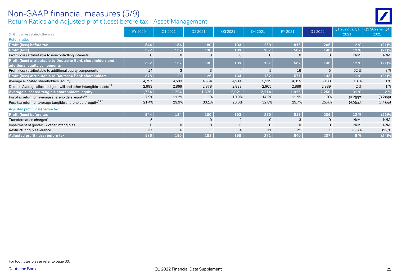#### Return Ratios and Adjusted profit (loss) before tax - Asset Management Non-GAAP financial measures (5/9)

| (In $\epsilon$ m., unless stated otherwise)                                  | FY 2020  | Q1 2021      | Q2 2021      | Q3 2021      | Q4 2021        | FY 2021  | Q1 2022        | Q1 2022 vs. Q1<br>2021 | Q1 2022 vs. Q4<br>2021 |
|------------------------------------------------------------------------------|----------|--------------|--------------|--------------|----------------|----------|----------------|------------------------|------------------------|
| <b>Return ratios</b>                                                         |          |              |              |              |                |          |                |                        |                        |
| Profit (loss) before tax                                                     | 544      | 184          | 180          | 193          | 259            | 816      | 206            | 12 %                   | (21)%                  |
| Profit (loss)                                                                | 392      | 132          | 130          | 139          | 187            | 587      | 148            | 12 %                   | (21)%                  |
| Profit (loss) attributable to noncontrolling interests                       | $\Omega$ | $\Omega$     | $\Omega$     | $\mathbf 0$  | 0              | $\Omega$ | $\overline{0}$ | N/M                    | N/M                    |
| Profit (loss) attributable to Deutsche Bank shareholders and                 | 392      | 132          | 130          | 139          | 187            | 587      | 148            | 12 %                   | (21)%                  |
| additional equity components                                                 |          |              |              |              |                |          |                |                        |                        |
| Profit (loss) attributable to additional equity components                   | 14       | 3            | 3            |              |                | 16       | 5              | 62%                    | 8%                     |
| Profit (loss) attributable to Deutsche Bank shareholders                     | 378      | 129          | 126          | 134          | 182            | 571      | 143            | 11 %                   | (21)%                  |
| Average allocated shareholders' equity                                       | 4,757    | 4,593        | 4,554        | 4,914        | 5,119          | 4,815    | 5,188          | 13%                    | 1%                     |
| Deduct: Average allocated goodwill and other intangible assets <sup>19</sup> | 2,993    | 2,869        | 2,878        | 2,893        | 2,905          | 2,889    | 2,939          | 2%                     | 1%                     |
| Average allocated tangible shareholders' equity                              | 1,764    | 1,724        | 1,676        | 2,021        | 2,214          | 1,926    | 2,250          | 31 %                   | 2%                     |
| Post-tax return on average shareholders' equity <sup>1,3</sup>               | 7.9%     | 11.2%        | 11.1%        | 10.9%        | 14.2%          | 11.9%    | 11.0%          | $(0.2)$ ppt            | $(3.2)$ ppt            |
| Post-tax return on average tangible shareholders' equity <sup>1,2,3</sup>    | 21.4%    | 29.9%        | 30.1%        | 26.6%        | 32.8%          | 29.7%    | 25.4%          | $(4.5)$ ppt            | $(7.4)$ ppt            |
| Adjusted profit (loss) before tax                                            |          |              |              |              |                |          |                |                        |                        |
| Profit (loss) before tax                                                     | 544      | 184          | 180          | 193          | 259            | 816      | 206            | 12 %                   | (21)%                  |
| Transformation charges <sup>1</sup>                                          |          |              | $\mathbf{0}$ | 2            |                | 3        | $\mathbf{0}$   | N/M                    | N/M                    |
| Impairment of goodwill / other intangibles                                   | $\Omega$ | $\mathbf{0}$ | $\mathbf{0}$ | $\mathbf{0}$ | $\overline{0}$ | $\Omega$ | $\mathbf{0}$   | N/M                    | N/M                    |
| Restructuring & severance                                                    | 37       | 6            |              |              | 11             | 21       |                | (85)%                  | (92)%                  |
| Adjusted profit (loss) before tax                                            | 586      | 190          | 181          | 198          | 271            | 840      | 207            | 9%                     | (24)%                  |

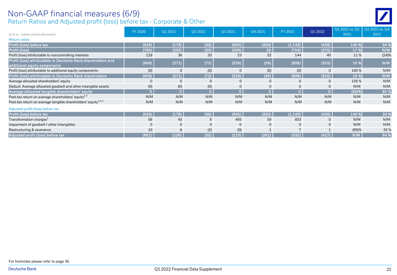#### Return Ratios and Adjusted profit (loss) before tax - Corporate & Other Non-GAAP financial measures (6/9)

| (In $\epsilon$ m., unless stated otherwise)                                                  | FY 2020      | Q1 2021      | Q2 2021  | Q3 2021  | Q4 2021      | FY 2021  | Q1 2022        | Q1 2022 vs. Q1<br>2021 | Q1 2022 vs. Q4<br>2021 |
|----------------------------------------------------------------------------------------------|--------------|--------------|----------|----------|--------------|----------|----------------|------------------------|------------------------|
| <b>Return ratios</b>                                                                         |              |              |          |          |              |          |                |                        |                        |
| Profit (loss) before tax                                                                     | (929)        | (178)        | (39)     | (605)    | (320)        | (1, 143) | (428)          | 140 %                  | 34 %                   |
| Profit (loss)                                                                                | (780)        | (235)        | (39)     | (506)    | 26           | (754)    | (275)          | 17 %                   | N/M                    |
| Profit (loss) attributable to noncontrolling interests                                       | 129          | 36           | 33       | 23       | 52           | 144      | 40             | 11%                    | (24)%                  |
| Profit (loss) attributable to Deutsche Bank shareholders and<br>additional equity components | (909)        | (271)        | (72)     | (529)    | (26)         | (898)    | (315)          | 16 %                   | N/M                    |
| Profit (loss) attributable to additional equity components                                   | (0)          | 0            | (0)      |          | (0)          | (0)      | $\mathbf 0$    | 100%                   | N/M                    |
| Profit (loss) attributable to Deutsche Bank shareholders                                     | (909)        | (271)        | (72)     | (529)    | (26)         | (898)    | (315)          | 16 %                   | N/M                    |
| Average allocated shareholders' equity                                                       | $\Omega$     | $\mathbf{0}$ | $\Omega$ | $\Omega$ | $\Omega$     | $\Omega$ | $\mathbf 0$    | 156%                   | N/M                    |
| Deduct: Average allocated goodwill and other intangible assets                               | (0)          | (0)          | (0)      | $\Omega$ | $\mathbf{0}$ | 0        | $\mathbf{0}$   | N/M                    | N/M                    |
| Average allocated tangible shareholders' equity                                              | $\mathbf{0}$ | $\mathbf{0}$ | $\Omega$ |          |              | $\Omega$ | $\overline{0}$ | $(65)$ %               | 85 %                   |
| Post-tax return on average shareholders' equity <sup>1,3</sup>                               | N/M          | N/M          | N/M      | N/M      | N/M          | N/M      | N/M            | N/M                    | N/M                    |
| Post-tax return on average tangible shareholders' equity <sup>1,2,3</sup>                    | N/M          | N/M          | N/M      | N/M      | N/M          | N/M      | N/M            | N/M                    | N/M                    |
| Adjusted profit (loss) before tax                                                            |              |              |          |          |              |          |                |                        |                        |
| Profit (loss) before tax                                                                     | (929)        | (178)        | (39)     | (605)    | (320)        | (1, 143) | (428)          | 140 %                  | 34 %                   |
| Transformation charges <sup>1</sup>                                                          | 58           | 43           | 6        | 495      | 59           | 603      | 0              | N/M                    | N/M                    |
| Impairment of goodwill / other intangibles                                                   | $\mathbf{0}$ | $\mathbf{0}$ | $\Omega$ | $\Omega$ | $\mathbf{0}$ | $\Omega$ | $\mathbf{0}$   | N/M                    | N/M                    |
| Restructuring & severance                                                                    | 10           | 8            | (2)      | (0)      |              |          |                | (89)%                  | 35%                    |
| Adjusted profit (loss) before tax                                                            | (861)        | (126)        | (35)     | (110)    | (261)        | (532)    | (427)          | N/M                    | 64 %                   |

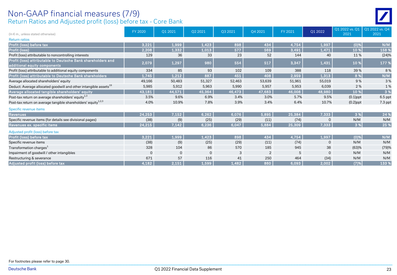#### Return Ratios and Adjusted profit (loss) before tax - Core Bank Non-GAAP financial measures (7/9)

|--|

| (In $\epsilon$ m., unless stated otherwise)                                                  | FY 2020  | Q1 2021  | Q2 2021     | Q3 2021 | Q4 2021        | FY 2021 | Q1 2022        | Q1 2022 vs. Q1<br>2021 | Q1 2022 vs. Q4<br>2021 |
|----------------------------------------------------------------------------------------------|----------|----------|-------------|---------|----------------|---------|----------------|------------------------|------------------------|
| <b>Return ratios</b>                                                                         |          |          |             |         |                |         |                |                        |                        |
| Profit (loss) before tax                                                                     | 3,221    | 1,999    | 1,423       | 898     | 434            | 4,754   | 1,997          | $(0)$ %                | N/M                    |
| Profit (loss)                                                                                | 2,208    | 1,332    | 1,013       | 577     | 569            | 3,491   | 1,471          | 10 %                   | 158 %                  |
| Profit (loss) attributable to noncontrolling interests                                       | 129      | 36       | 33          | 23      | 52             | 144     | 40             | 11%                    | (24)%                  |
| Profit (loss) attributable to Deutsche Bank shareholders and<br>additional equity components | 2,079    | 1,297    | 980         | 554     | 517            | 3,347   | 1,431          | 10 %                   | 177 %                  |
| Profit (loss) attributable to additional equity components                                   | 334      | 85       | 93          | 102     | 109            | 388     | 118            | 39%                    | 8%                     |
| Profit (loss) attributable to Deutsche Bank shareholders                                     | 1,745    | 1,212    | 887         | 451     | 408            | 2,959   | 1,313          | 8 %                    | N/M                    |
| Average allocated shareholders' equity                                                       | 49,166   | 50,483   | 51,327      | 52,463  | 53,639         | 51,961  | 55,019         | 9%                     | 3%                     |
| Deduct: Average allocated goodwill and other intangible assets <sup>19</sup>                 | 5,985    | 5,912    | 5,963       | 5,990   | 5,957          | 5,953   | 6,039          | 2 %                    | 1%                     |
| Average allocated tangible shareholders' equity                                              | 43,181   | 44,571   | 45,364      | 46,473  | 47,683         | 46,008  | 48,980         | 10 %                   | 3%                     |
| Post-tax return on average shareholders' equity <sup>1,3</sup>                               | 3.5%     | 9.6%     | 6.9%        | 3.4%    | 3.0%           | 5.7%    | 9.5%           | $(0.1)$ ppt            | $6.5$ ppt              |
| Post-tax return on average tangible shareholders' equity <sup>1,2,3</sup>                    | 4.0%     | 10.9%    | 7.8%        | 3.9%    | 3.4%           | 6.4%    | 10.7%          | $(0.2)$ ppt            | 7.3 ppt                |
| Specific revenue items                                                                       |          |          |             |         |                |         |                |                        |                        |
| <b>Revenues</b>                                                                              | 24,253   | 7,152    | 6,262       | 6,076   | 5,895          | 25,384  | 7,333          | 3 %                    | 24 %                   |
| Specific revenue items (for details see divisional pages)                                    | (38)     | (9)      | (25)        | (29)    | (11)           | (74)    | $\overline{0}$ | N/M                    | N/M                    |
| Revenues ex. specific items                                                                  | 24,215   | 7,142    | 6,236       | 6,047   | 5,884          | 25,309  | 7,333          | 3 %                    | 25 %                   |
| Adjusted profit (loss) before tax                                                            |          |          |             |         |                |         |                |                        |                        |
| Profit (loss) before tax                                                                     | 3,221    | 1,999    | 1,423       | 898     | 434            | 4.754   | 1,997          | $(0)$ %                | N/M                    |
| Specific revenue items                                                                       | (38)     | (9)      | (25)        | (29)    | (11)           | (74)    | $\overline{0}$ | N/M                    | N/M                    |
| Transformation charges <sup>1</sup>                                                          | 328      | 104      | 86          | 570     | 185            | 945     | 38             | (63)%                  | (79)%                  |
| Impairment of goodwill / other intangibles                                                   | $\Omega$ | $\Omega$ | $\mathbf 0$ | 3       | $\overline{2}$ | 5       | $\Omega$       | N/M                    | N/M                    |
| Restructuring & severance                                                                    | 671      | 57       | 116         | 41      | 250            | 464     | (34)           | N/M                    | N/M                    |
| Adjusted profit (loss) before tax                                                            | 4,182    | 2,151    | 1,599       | 1,482   | 860            | 6,093   | 2,002          | (7)%                   | 133 %                  |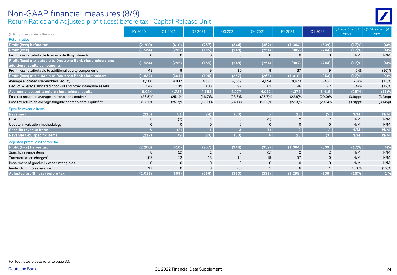#### Return Ratios and Adjusted profit (loss) before tax - Capital Release Unit Non-GAAP financial measures (8/9)

|                                                                           | FY 2020     | Q1 2021     | Q2 2021      | Q3 2021        | Q4 2021        | FY 2021        | Q1 2022        | Q1 2022 vs. Q1 | Q1 2022 vs. Q4 |
|---------------------------------------------------------------------------|-------------|-------------|--------------|----------------|----------------|----------------|----------------|----------------|----------------|
| (In $\epsilon$ m., unless stated otherwise)                               |             |             |              |                |                |                |                | 2021           | 2021           |
| <b>Return ratios</b>                                                      |             |             |              |                |                |                |                |                |                |
| Profit (loss) before tax                                                  | (2, 200)    | (410)       | (257)        | (344)          | (352)          | (1, 364)       | (339)          | (17)%          | (4)%           |
| Profit (loss)                                                             | (1,584)     | (295)       | (185)        | (248)          | (254)          | (982)          | (244)          | (17)%          | (4)%           |
| Profit (loss) attributable to noncontrolling interests                    |             | 0           |              | $\Omega$       | ი              | O              | 0              | N/M            | N/M            |
| Profit (loss) attributable to Deutsche Bank shareholders and              | (1, 584)    | (295)       | (185)        | (248)          | (254)          | (982)          | (244)          | (17)%          | (4)%           |
| additional equity components                                              |             |             |              |                |                |                |                |                |                |
| Profit (loss) attributable to additional equity components                | 48          | 9           | 9            | 10             | 9              | 37             | 9              | (5)%           | (10)%          |
| Profit (loss) attributable to Deutsche Bank shareholders                  | (1,632)     | (304)       | (195)        | (257)          | (263)          | (1,019)        | (253)          | (17)%          | (4)%           |
| Average allocated shareholders' equity                                    | 6,166       | 4,837       | 4,671        | 4,369          | 4,094          | 4,473          | 3,487          | (28)%          | (15)%          |
| Deduct: Average allocated goodwill and other intangible assets            | 142         | 109         | 103          | 92             | 82             | 96             | 72             | (34)%          | (12)%          |
| Average allocated tangible shareholders' equity                           | 6,024       | 4,728       | 4,568        | 4,277          | 4,012          | 4,377          | 3,415          | (28)%          | (15)%          |
| Post-tax return on average shareholders' equity <sup>1,3</sup>            | $(26.5)\%$  | $(25.1)\%$  | $(16.7)\%$   | $(23.6)\%$     | (25.7)%        | $(22.8)\%$     | $(29.0)\%$     | $(3.9)$ ppt    | $(3.3)$ ppt    |
| Post-tax return on average tangible shareholders' equity <sup>1,2,3</sup> | $(27.1)\%$  | $(25.7)\%$  | $(17.1)\%$   | $(24.1)\%$     | (26.2)%        | $(23.3)\%$     | $(29.6)\%$     | $(3.9)$ ppt    | $(3.4)$ ppt    |
| Specific revenue items                                                    |             |             |              |                |                |                |                |                |                |
| <b>Revenues</b>                                                           | (225)       | 81          | (24)         | (36)           | 5 <sub>1</sub> | 26             | (5)            | N/M            | N/M            |
| <b>DVA</b>                                                                |             | (2)         |              | 3              | (1)            | $\overline{2}$ | 2              | N/M            | N/M            |
| Update in valuation methodology                                           |             | $\mathbf 0$ |              | $\mathbf 0$    | $\Omega$       | $\mathbf 0$    | $\mathbf 0$    | N/M            | N/M            |
| Specific revenue items                                                    | B           | (2)         |              | $\overline{3}$ | (1)            | $\overline{2}$ | $\overline{2}$ | N/M            | N/M            |
| Revenues ex. specific items                                               | (217)       | 79          | (23)         | (33)           |                | 28             | (3)            | N/M            | N/M            |
| Adjusted profit (loss) before tax                                         |             |             |              |                |                |                |                |                |                |
| Profit (loss) before tax                                                  | (2, 200)    | (410)       | (257)        | (344)          | (352)          | (1, 364)       | (339)          | (17)%          | (4)%           |
| Specific revenue items                                                    | 8           | (2)         | $\mathbf{1}$ | 3              | (1)            |                | $\overline{2}$ | N/M            | N/M            |
| Transformation charges <sup>1</sup>                                       | 162         | 12          | 13           | 14             | 19             | 57             | $\mathbf{0}$   | N/M            | N/M            |
| Impairment of goodwill / other intangibles                                | $\mathbf 0$ | $\mathbf 0$ | $\mathbf 0$  | $\mathbf 0$    | 0              | 0              | 0              | N/M            | N/M            |
| Restructuring & severance                                                 | 17          | $\mathbf 0$ |              | (3)            |                |                |                | 163%           | (32)%          |
| Adjusted profit (loss) before tax                                         | (2,013)     | (399)       | (236)        | (330)          | (333)          | (1, 298)       | (336)          | (16)%          | 1 %            |

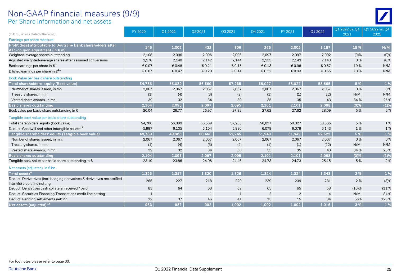#### Per Share information and net assets Non-GAAP financial measures (9/9)

|                                                                                                             | FY 2020 | Q1 2021      | Q2 2021 | Q3 2021 | Q4 2021        | FY 2021        | Q1 2022        | Q1 2022 vs. Q1 | Q1 2022 vs. Q4 |
|-------------------------------------------------------------------------------------------------------------|---------|--------------|---------|---------|----------------|----------------|----------------|----------------|----------------|
| (In $\epsilon$ m., unless stated otherwise)                                                                 |         |              |         |         |                |                |                | 2021           | 2021           |
| Earnings per share measure                                                                                  |         |              |         |         |                |                |                |                |                |
| Profit (loss) attributable to Deutsche Bank shareholders after<br>AT1-coupon adjustment (in $\epsilon$ m)   | 146     | 1,002        | 432     | 306     | 263            | 2,002          | 1,187          | 18 %           | N/M            |
| Weighted-average shares outstanding                                                                         | 2,108   | 2,096        | 2,096   | 2,096   | 2,097          | 2,097          | 2,092          | (0)%           | (0)%           |
| Adjusted weighted-average shares after assumed conversions                                                  | 2,170   | 2,140        | 2,142   | 2,144   | 2,153          | 2,143          | 2,143          | 0%             | (0)%           |
| Basic earnings per share in $\epsilon^9$                                                                    | € 0.07  | € 0.48       | € 0.21  | €0.15   | € 0.13         | € 0.96         | € 0.57         | 19%            | N/M            |
| Diluted earnings per share in $\epsilon^{1,9}$                                                              | € 0.07  | € 0.47       | € 0.20  | € 0.14  | € 0.12         | € 0.93         | € 0.55         | 18%            | N/M            |
| Book Value per basic share outstanding                                                                      |         |              |         |         |                |                |                |                |                |
| Total shareholders' equity (Book value)                                                                     | 54,786  | 56,089       | 56,569  | 57,235  | 58,027         | 58,027         | 58,665         | 5 %            | 1 %            |
| Number of shares issued, in mn.                                                                             | 2,067   | 2,067        | 2,067   | 2,067   | 2,067          | 2,067          | 2,067          | 0%             | 0%             |
| Treasury shares, in mn.                                                                                     | (1)     | (4)          | (3)     | (2)     | (1)            | (1)            | (22)           | N/M            | N/M            |
| Vested share awards, in mn.                                                                                 | 39      | 32           | 34      | 30      | 35             | 35             | 43             | 34%            | 25 %           |
| <b>Basic shares outstanding</b>                                                                             | 2,104   | 2,095        | 2,097   | 2,095   | 2,101          | 2,101          | 2,088          | (0)%           | (1)%           |
| Book value per basic share outstanding in $\epsilon$                                                        | 26.04   | 26.77        | 26.97   | 27.32   | 27.62          | 27.62          | 28.09          | 5 %            | 2%             |
| Tangible book value per basic share outstanding                                                             |         |              |         |         |                |                |                |                |                |
| Total shareholders' equity (Book value)                                                                     | 54,786  | 56,089       | 56,569  | 57,235  | 58,027         | 58,027         | 58,665         | 5 %            | 1%             |
| Deduct: Goodwill and other intangible assets <sup>19</sup>                                                  | 5,997   | 6,105        | 6,104   | 5,990   | 6,079          | 6,079          | 6,143          | 1%             | 1%             |
| Tangible shareholders' equity (Tangible book value)                                                         | 48,789  | 49,985       | 50,465  | 51,245  | 51,949         | 51,949         | 52,522         | 5 %            | 1%             |
| Number of shares issued, in mn.                                                                             | 2.067   | 2,067        | 2,067   | 2,067   | 2,067          | 2,067          | 2.067          | 0%             | 0%             |
| Treasury shares, in mn.                                                                                     | (1)     | (4)          | (3)     | (2)     | (1)            | (1)            | (22)           | N/M            | N/M            |
| Vested share awards, in mn.                                                                                 | 39      | 32           | 34      | 30      | 35             | 35             | 43             | 34 %           | 25 %           |
| <b>Basic shares outstanding</b>                                                                             | 2,104   | 2,095        | 2,097   | 2,095   | 2,101          | 2,101          | 2,088          | $(0)$ %        | (1)%           |
| Tangible book value per basic share outstanding in €                                                        | 23.19   | 23.86        | 24.06   | 24.46   | 24.73          | 24.73          | 25.15          | 5 %            | 2%             |
| Net assets (adjusted), in € bn.                                                                             |         |              |         |         |                |                |                |                |                |
| $\sf {Total}$ assets $^{\sf e}$                                                                             | 1.325   | 1,317        | 1,320   | 1.326   | 1,324          | 1,324          | 1,343          | 2 %            | 1%             |
| Deduct: Derivatrives (incl. hedging derivatives & derivatives reclassified<br>into hfs) credit line netting | 266     | 227          | 218     | 220     | 239            | 239            | 231            | 2%             | (3)%           |
| Deduct: Derivatives cash collateral received / paid                                                         | 83      | 64           | 63      | 62      | 65             | 65             | 58             | (10)%          | (11)%          |
| Deduct: Securities Financing Transactions credit line netting                                               |         | $\mathbf{1}$ | 1       | 1       | $\overline{2}$ | $\overline{2}$ | $\overline{4}$ | N/M            | 84%            |
| Deduct: Pending settlements netting                                                                         | 12      | 37           | 46      | 41      | 15             | 15             | 34             | (9)%           | 123%           |
| Net assets (adjusted) <sup>1,6</sup>                                                                        | 963     | 987          | 992     | 1,002   | 1,002          | 1,002          | 1.016          | 3 %            | 1 %            |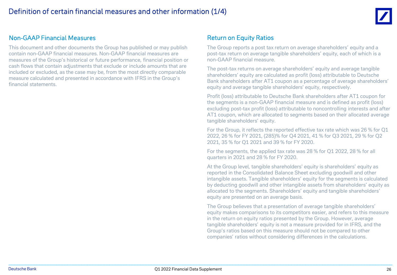

#### Non-GAAP Financial Measures

This document and other documents the Group has published or may publish contain non-GAAP financial measures. Non-GAAP financial measures are measures of the Group's historical or future performance, financial position or cash flows that contain adjustments that exclude or include amounts that are included or excluded, as the case may be, from the most directly comparable measure calculated and presented in accordance with IFRS in the Group's financial statements.

#### Return on Equity Ratios

The Group reports a post tax return on average shareholders' equity and a post-tax return on average tangible shareholders' equity, each of which is a non-GAAP financial measure.

The post-tax returns on average shareholders' equity and average tangible shareholders' equity are calculated as profit (loss) attributable to Deutsche Bank shareholders after AT1 coupon as a percentage of average shareholders' equity and average tangible shareholders' equity, respectively.

Profit (loss) attributable to Deutsche Bank shareholders after AT1 coupon for the segments is a non-GAAP financial measure and is defined as profit (loss) excluding post-tax profit (loss) attributable to noncontrolling interests and after AT1 coupon, which are allocated to segments based on their allocated average tangible shareholders' equity.

For the Group, it reflects the reported effective tax rate which was 26 % for Q1 2022, 26 % for FY 2021, (285)% for Q4 2021, 41 % for Q3 2021, 29 % for Q2 2021, 35 % for Q1 2021 and 39 % for FY 2020.

For the segments, the applied tax rate was 28 % for Q1 2022, 28 % for all quarters in 2021 and 28 % for FY 2020.

At the Group level, tangible shareholders' equity is shareholders' equity as reported in the Consolidated Balance Sheet excluding goodwill and other intangible assets. Tangible shareholders' equity for the segments is calculated by deducting goodwill and other intangible assets from shareholders' equity as allocated to the segments. Shareholders' equity and tangible shareholders' equity are presented on an average basis.

The Group believes that a presentation of average tangible shareholders' equity makes comparisons to its competitors easier, and refers to this measure in the return on equity ratios presented by the Group. However, average tangible shareholders' equity is not a measure provided for in IFRS, and the Group's ratios based on this measure should not be compared to other companies' ratios without considering differences in the calculations.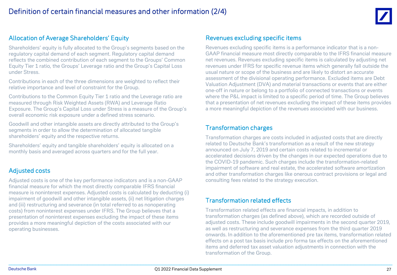

#### Allocation of Average Shareholders' Equity

Shareholders' equity is fully allocated to the Group's segments based on the regulatory capital demand of each segment. Regulatory capital demand reflects the combined contribution of each segment to the Groups' Common Equity Tier 1 ratio, the Groups' Leverage ratio and the Group's Capital Loss under Stress.

Contributions in each of the three dimensions are weighted to reflect their relative importance and level of constraint for the Group.

Contributions to the Common Equity Tier 1 ratio and the Leverage ratio are measured through Risk Weighted Assets (RWA) and Leverage Ratio Exposure. The Group's Capital Loss under Stress is a measure of the Group's overall economic risk exposure under a defined stress scenario.

Goodwill and other intangible assets are directly attributed to the Group's segments in order to allow the determination of allocated tangible shareholders' equity and the respective returns.

Shareholders' equity and tangible shareholders' equity is allocated on a monthly basis and averaged across quarters and for the full year.

#### Adjusted costs

Adjusted costs is one of the key performance indicators and is a non-GAAP financial measure for which the most directly comparable IFRS financial measure is noninterest expenses. Adjusted costs is calculated by deducting (i) impairment of goodwill and other intangible assets, (ii) net litigation charges and (iii) restructuring and severance (in total referred to as nonoperating costs) from noninterest expenses under IFRS. The Group believes that a presentation of noninterest expenses excluding the impact of these items provides a more meaningful depiction of the costs associated with our operating businesses.

#### Revenues excluding specific items

Revenues excluding specific items is a performance indicator that is a non-GAAP financial measure most directly comparable to the IFRS financial measure net revenues. Revenues excluding specific items is calculated by adjusting net revenues under IFRS for specific revenue items which generally fall outside the usual nature or scope of the business and are likely to distort an accurate assessment of the divisional operating performance. Excluded items are Debt Valuation Adjustment (DVA) and material transactions or events that are either one-off in nature or belong to a portfolio of connected transactions or events where the P&L impact is limited to a specific period of time. The Group believes that a presentation of net revenues excluding the impact of these items provides a more meaningful depiction of the revenues associated with our business.

#### Transformation charges

Transformation charges are costs included in adjusted costs that are directly related to Deutsche Bank's transformation as a result of the new strategy announced on July 7, 2019 and certain costs related to incremental or accelerated decisions driven by the changes in our expected operations due to the COVID-19 pandemic. Such charges include the transformation-related impairment of software and real estate, the accelerated software amortization and other transformation charges like onerous contract provisions or legal and consulting fees related to the strategy execution.

#### Transformation related effects

Transformation related effects are financial impacts, in addition to transformation charges (as defined above), which are recorded outside of adjusted costs. These include goodwill impairments in the second quarter 2019, as well as restructuring and severance expenses from the third quarter 2019 onwards. In addition to the aforementioned pre tax items, transformation related effects on a post tax basis include pro forma tax effects on the aforementioned items and deferred tax asset valuation adjustments in connection with the transformation of the Group.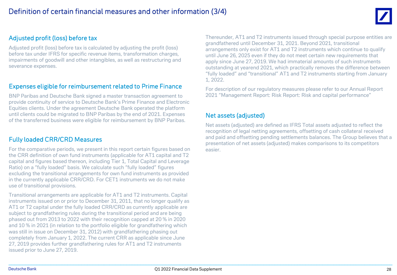#### Adjusted profit (loss) before tax

Adjusted profit (loss) before tax is calculated by adjusting the profit (loss) before tax under IFRS for specific revenue items, transformation charges, impairments of goodwill and other intangibles, as well as restructuring and severance expenses.

#### Expenses eligible for reimbursement related to Prime Finance

BNP Paribas and Deutsche Bank signed a master transaction agreement to provide continuity of service to Deutsche Bank's Prime Finance and Electronic Equities clients. Under the agreement Deutsche Bank operated the platform until clients could be migrated to BNP Paribas by the end of 2021. Expenses of the transferred business were eligible for reimbursement by BNP Paribas.

#### Fully loaded CRR/CRD Measures

For the comparative periods, we present in this report certain figures based on the CRR definition of own fund instruments (applicable for AT1 capital and T2 capital and figures based thereon, including Tier 1, Total Capital and Leverage Ratio) on a "fully loaded" basis. We calculate such "fully loaded" figures excluding the transitional arrangements for own fund instruments as provided in the currently applicable CRR/CRD. For CET1 instruments we do not make use of transitional provisions.

Transitional arrangements are applicable for AT1 and T2 instruments. Capital instruments issued on or prior to December 31, 2011, that no longer qualify as AT1 or T2 capital under the fully loaded CRR/CRD as currently applicable are subject to grandfathering rules during the transitional period and are being phased out from 2013 to 2022 with their recognition capped at 20 % in 2020 and 10 % in 2021 (in relation to the portfolio eligible for grandfathering which was still in issue on December 31, 2012) with grandfathering phasing out completely from January 1, 2022. The current CRR as applicable since June 27, 2019 provides further grandfathering rules for AT1 and T2 instruments issued prior to June 27, 2019.

Thereunder, AT1 and T2 instruments issued through special purpose entities are grandfathered until December 31, 2021. Beyond 2021, transitional arrangements only exist for AT1 and T2 instruments which continue to qualify until June 26, 2025 even if they do not meet certain new requirements that apply since June 27, 2019. We had immaterial amounts of such instruments outstanding at yearend 2021, which practically removes the difference between "fully loaded" and "transitional" AT1 and T2 instruments starting from January 1, 2022.

For description of our regulatory measures please refer to our Annual Report 2021 "Management Report: Risk Report: Risk and capital performance"

#### Net assets (adjusted)

Net assets (adjusted) are defined as IFRS Total assets adjusted to reflect the recognition of legal netting agreements, offsetting of cash collateral received and paid and offsetting pending settlements balances. The Group believes that a presentation of net assets (adjusted) makes comparisons to its competitors easier.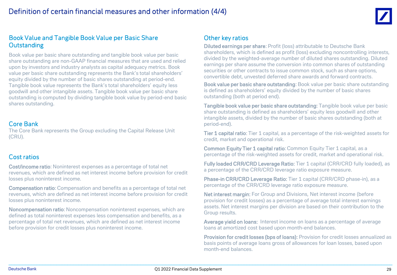

#### Book Value and Tangible Book Value per Basic Share **Outstanding**

Book value per basic share outstanding and tangible book value per basic share outstanding are non-GAAP financial measures that are used and relied upon by investors and industry analysts as capital adequacy metrics. Book value per basic share outstanding represents the Bank's total shareholders' equity divided by the number of basic shares outstanding at period-end. Tangible book value represents the Bank's total shareholders' equity less goodwill and other intangible assets. Tangible book value per basic share outstanding is computed by dividing tangible book value by period-end basic shares outstanding.

#### Core Bank

The Core Bank represents the Group excluding the Capital Release Unit (CRU).

#### Cost ratios

Cost/income ratio: Noninterest expenses as a percentage of total net revenues, which are defined as net interest income before provision for credit losses plus noninterest income.

Compensation ratio: Compensation and benefits as a percentage of total net revenues, which are defined as net interest income before provision for credit losses plus noninterest income.

Noncompensation ratio: Noncompensation noninterest expenses, which are defined as total noninterest expenses less compensation and benefits, as a percentage of total net revenues, which are defined as net interest income before provision for credit losses plus noninterest income.

#### Other key ratios

Diluted earnings per share: Profit (loss) attributable to Deutsche Bank shareholders, which is defined as profit (loss) excluding noncontrolling interests, divided by the weighted-average number of diluted shares outstanding. Diluted earnings per share assume the conversion into common shares of outstanding securities or other contracts to issue common stock, such as share options, convertible debt, unvested deferred share awards and forward contracts.

Book value per basic share outstanding: Book value per basic share outstanding is defined as shareholders' equity divided by the number of basic shares outstanding (both at period end).

Tangible book value per basic share outstanding: Tangible book value per basic share outstanding is defined as shareholders' equity less goodwill and other intangible assets, divided by the number of basic shares outstanding (both at period-end).

Tier 1 capital ratio: Tier 1 capital, as a percentage of the risk-weighted assets for credit, market and operational risk.

**Common Equity Tier 1 capital ratio: Common Equity Tier 1 capital, as a** percentage of the risk-weighted assets for credit, market and operational risk.

Fully loaded CRR/CRD Leverage Ratio: Tier 1 capital (CRR/CRD fully loaded), as a percentage of the CRR/CRD leverage ratio exposure measure.

Phase-in CRR/CRD Leverage Ratio: Tier 1 capital (CRR/CRD phase-in), as a percentage of the CRR/CRD leverage ratio exposure measure.

Net interest margin: For Group and Divisions, Net interest income (before provision for credit losses) as a percentage of average total interest earnings assets. Net interest margins per division are based on their contribution to the Group results.

Average yield on loans: Interest income on loans as a percentage of average loans at amortized cost based upon month-end balances.

Provision for credit losses (bps of loans): Provision for credit losses annualized as basis points of average loans gross of allowances for loan losses, based upon month-end balances.